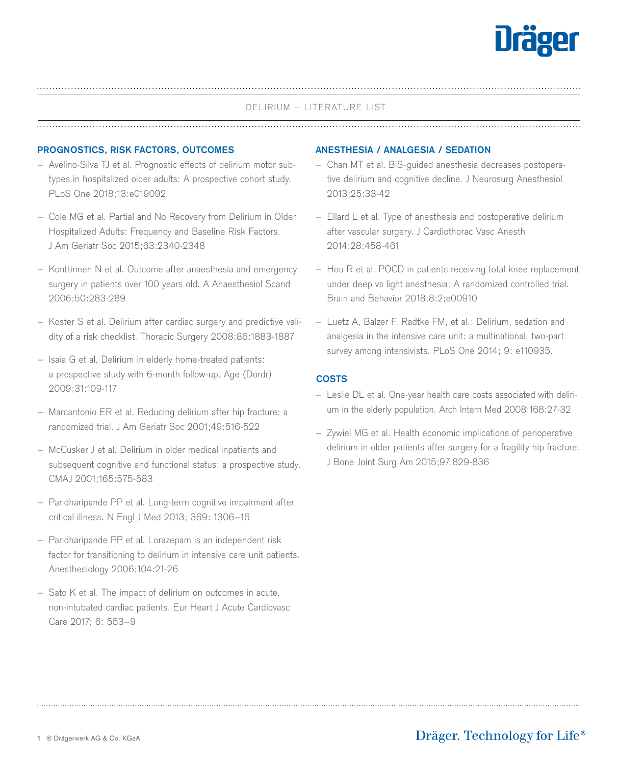

#### DELIRIUM – LITERATURE LIST

#### **PROGNOSTICS, RISK FACTORS, OUTCOMES ANESTHESIA / ANALGESIA / SEDATION**

- Avelino-Silva TJ et al. Prognostic effects of delirium motor subtypes in hospitalized older adults: A prospective cohort study. PLoS One 2018;13:e019092
- Cole MG et al. Partial and No Recovery from Delirium in Older Hospitalized Adults: Frequency and Baseline Risk Factors. J Am Geriatr Soc 2015;63:2340-2348
- Konttinnen N et al. Outcome after anaesthesia and emergency surgery in patients over 100 years old. A Anaesthesiol Scand 2006;50:283-289
- Koster S et al. Delirium after cardiac surgery and predictive validity of a risk checklist. Thoracic Surgery 2008;86:1883-1887
- Isaia G et al, Delirium in elderly home-treated patients: a prospective study with 6-month follow-up. Age (Dordr) 2009;31:109-117
- Marcantonio ER et al. Reducing delirium after hip fracture: a randomized trial. J Am Geriatr Soc 2001;49:516-522
- McCusker J et al. Delirium in older medical inpatients and subsequent cognitive and functional status: a prospective study. CMAJ 2001;165:575-583
- Pandharipande PP et al. Long-term cognitive impairment after critical illness. N Engl J Med 2013; 369: 1306–16
- Pandharipande PP et al. Lorazepam is an independent risk factor for transitioning to delirium in intensive care unit patients. Anesthesiology 2006;104:21-26
- Sato K et al. The impact of delirium on outcomes in acute, non-intubated cardiac patients. Eur Heart J Acute Cardiovasc Care 2017; 6: 553–9

- Chan MT et al. BIS-guided anesthesia decreases postoperative delirium and cognitive decline. J Neurosurg Anesthesiol 2013;25:33-42
- Ellard L et al. Type of anesthesia and postoperative delirium after vascular surgery. J Cardiothorac Vasc Anesth 2014;28:458-461
- Hou R et al. POCD in patients receiving total knee replacement under deep vs light anesthesia: A randomized controlled trial. Brain and Behavior 2018;8:2;e00910
- Luetz A, Balzer F, Radtke FM, et al.: Delirium, sedation and analgesia in the intensive care unit: a multinational, two-part survey among intensivists. PLoS One 2014; 9: e110935.

### **COSTS**

- Leslie DL et al. One-year health care costs associated with delirium in the elderly population. Arch Intern Med 2008;168:27-32
- Zywiel MG et al. Health economic implications of perioperative delirium in older patients after surgery for a fragility hip fracture. J Bone Joint Surg Am 2015;97:829-836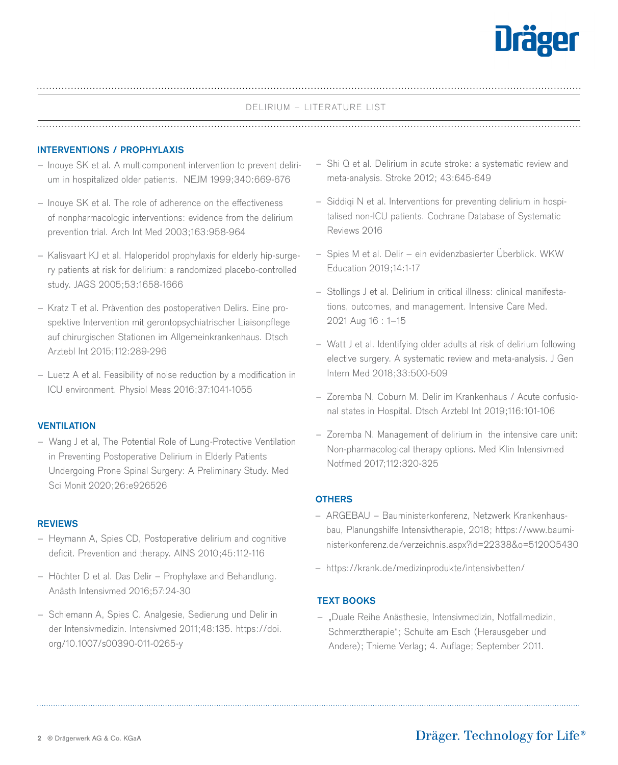

## DELIRIUM – LITERATURE LIST

#### **INTERVENTIONS / PROPHYLAXIS**

- Inouye SK et al. A multicomponent intervention to prevent delirium in hospitalized older patients. NEJM 1999;340:669-676
- Inouye SK et al. The role of adherence on the effectiveness of nonpharmacologic interventions: evidence from the delirium prevention trial. Arch Int Med 2003;163:958-964
- Kalisvaart KJ et al. Haloperidol prophylaxis for elderly hip-surgery patients at risk for delirium: a randomized placebo-controlled study. JAGS 2005;53:1658-1666
- Kratz T et al. Prävention des postoperativen Delirs. Eine prospektive Intervention mit gerontopsychiatrischer Liaisonpflege auf chirurgischen Stationen im Allgemeinkrankenhaus. Dtsch Arztebl Int 2015;112:289-296
- Luetz A et al. Feasibility of noise reduction by a modification in ICU environment. Physiol Meas 2016;37:1041-1055

#### **VENTILATION**

– Wang J et al, The Potential Role of Lung-Protective Ventilation in Preventing Postoperative Delirium in Elderly Patients Undergoing Prone Spinal Surgery: A Preliminary Study. Med Sci Monit 2020;26:e926526

#### **REVIEWS**

- Heymann A, Spies CD, Postoperative delirium and cognitive deficit. Prevention and therapy. AINS 2010;45:112-116
- Höchter D et al. Das Delir Prophylaxe and Behandlung. Anästh Intensivmed 2016;57:24-30
- Schiemann A, Spies C. Analgesie, Sedierung und Delir in der Intensivmedizin. Intensivmed 2011;48:135. https://doi. org/10.1007/s00390-011-0265-y
- Shi Q et al. Delirium in acute stroke: a systematic review and meta-analysis. Stroke 2012; 43:645-649
- Siddiqi N et al. Interventions for preventing delirium in hospitalised non-ICU patients. Cochrane Database of Systematic Reviews 2016
- Spies M et al. Delir ein evidenzbasierter Überblick. WKW Education 2019;14:1-17
- Stollings J et al. Delirium in critical illness: clinical manifestations, outcomes, and management. Intensive Care Med. 2021 Aug 16 : 1–15
- Watt J et al. Identifying older adults at risk of delirium following elective surgery. A systematic review and meta-analysis. J Gen Intern Med 2018;33:500-509
- Zoremba N, Coburn M. Delir im Krankenhaus / Acute confusional states in Hospital. Dtsch Arztebl Int 2019;116:101-106
- Zoremba N. Management of delirium in the intensive care unit: Non-pharmacological therapy options. Med Klin Intensivmed Notfmed 2017;112:320-325

#### **OTHERS**

- ARGEBAU Bauministerkonferenz, Netzwerk Krankenhausbau, Planungshilfe Intensivtherapie, 2018; https://www.bauministerkonferenz.de/verzeichnis.aspx?id=22338&o=5120O5430
- https://krank.de/medizinprodukte/intensivbetten/

## **TEXT BOOKS**

– "Duale Reihe Anästhesie, Intensivmedizin, Notfallmedizin, Schmerztherapie"; Schulte am Esch (Herausgeber und Andere); Thieme Verlag; 4. Auflage; September 2011.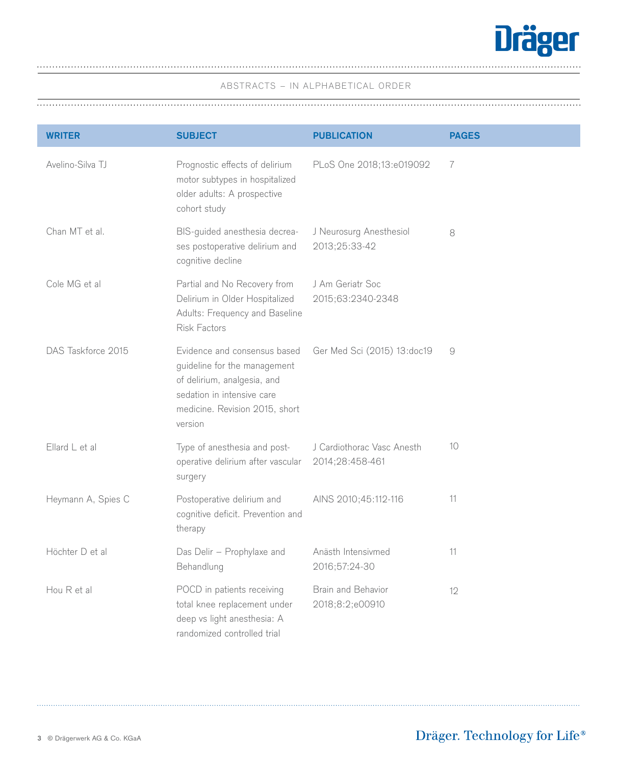

| <b>WRITER</b>             | <b>SUBJECT</b>                                                                                                                                                         | <b>PUBLICATION</b>                            | <b>PAGES</b>   |
|---------------------------|------------------------------------------------------------------------------------------------------------------------------------------------------------------------|-----------------------------------------------|----------------|
| Avelino-Silva TJ          | Prognostic effects of delirium<br>motor subtypes in hospitalized<br>older adults: A prospective<br>cohort study                                                        | PLoS One 2018;13:e019092                      | $\overline{7}$ |
| Chan MT et al.            | BIS-guided anesthesia decrea-<br>ses postoperative delirium and<br>cognitive decline                                                                                   | J Neurosurg Anesthesiol<br>2013;25:33-42      | 8              |
| Cole MG et al             | Partial and No Recovery from<br>Delirium in Older Hospitalized<br>Adults: Frequency and Baseline<br>Risk Factors                                                       | J Am Geriatr Soc<br>2015;63:2340-2348         |                |
| DAS Taskforce 2015        | Evidence and consensus based<br>guideline for the management<br>of delirium, analgesia, and<br>sedation in intensive care<br>medicine. Revision 2015, short<br>version | Ger Med Sci (2015) 13:doc19                   | 9              |
| $Ellard \mathsf{L}$ et al | Type of anesthesia and post-<br>operative delirium after vascular<br>surgery                                                                                           | J Cardiothorac Vasc Anesth<br>2014;28:458-461 | 10             |
| Heymann A, Spies C        | Postoperative delirium and<br>cognitive deficit. Prevention and<br>therapy                                                                                             | AINS 2010;45:112-116                          | 11             |
| Höchter D et al           | Das Delir - Prophylaxe and<br>Behandlung                                                                                                                               | Anästh Intensivmed<br>2016;57:24-30           | 11             |
| Hou R et al               | POCD in patients receiving<br>total knee replacement under<br>deep vs light anesthesia: A<br>randomized controlled trial                                               | Brain and Behavior<br>2018;8:2;e00910         | 12             |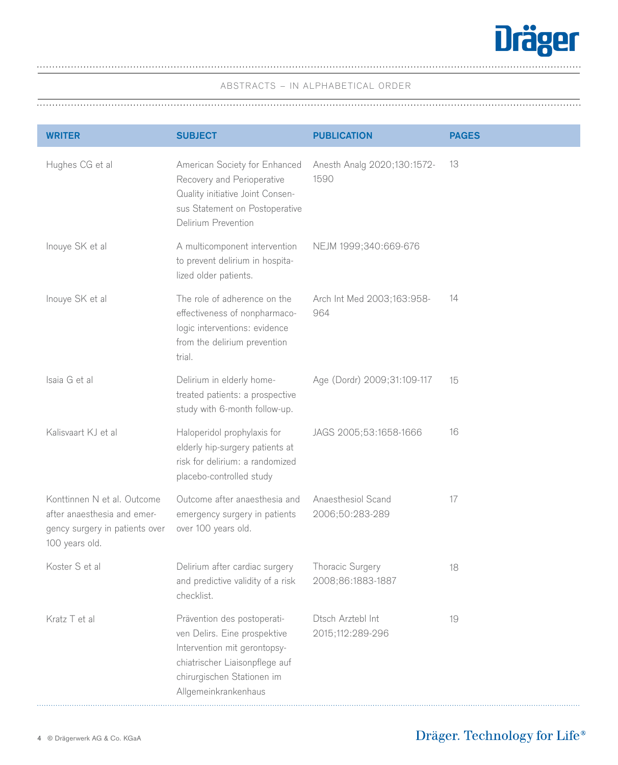

| <b>WRITER</b>                                                                                                  | <b>SUBJECT</b>                                                                                                                                                                      | <b>PUBLICATION</b>                    | <b>PAGES</b> |
|----------------------------------------------------------------------------------------------------------------|-------------------------------------------------------------------------------------------------------------------------------------------------------------------------------------|---------------------------------------|--------------|
| Hughes CG et al                                                                                                | American Society for Enhanced<br>Recovery and Perioperative<br>Quality initiative Joint Consen-<br>sus Statement on Postoperative<br>Delirium Prevention                            | Anesth Analg 2020;130:1572-<br>1590   | 13           |
| Inouye SK et al                                                                                                | A multicomponent intervention<br>to prevent delirium in hospita-<br>lized older patients.                                                                                           | NEJM 1999;340:669-676                 |              |
| Inouye SK et al                                                                                                | The role of adherence on the<br>effectiveness of nonpharmaco-<br>logic interventions: evidence<br>from the delirium prevention<br>trial.                                            | Arch Int Med 2003;163:958-<br>964     | 14           |
| Isaia G et al                                                                                                  | Delirium in elderly home-<br>treated patients: a prospective<br>study with 6-month follow-up.                                                                                       | Age (Dordr) 2009;31:109-117           | 15           |
| Kalisvaart KJ et al                                                                                            | Haloperidol prophylaxis for<br>elderly hip-surgery patients at<br>risk for delirium: a randomized<br>placebo-controlled study                                                       | JAGS 2005;53:1658-1666                | 16           |
| Konttinnen N et al. Outcome<br>after anaesthesia and emer-<br>gency surgery in patients over<br>100 years old. | Outcome after anaesthesia and<br>emergency surgery in patients<br>over 100 years old.                                                                                               | Anaesthesiol Scand<br>2006;50:283-289 | 17           |
| Koster S et al                                                                                                 | Delirium after cardiac surgery<br>and predictive validity of a risk<br>checklist.                                                                                                   | Thoracic Surgery<br>2008;86:1883-1887 | 18           |
| Kratz T et al                                                                                                  | Prävention des postoperati-<br>ven Delirs. Eine prospektive<br>Intervention mit gerontopsy-<br>chiatrischer Liaisonpflege auf<br>chirurgischen Stationen im<br>Allgemeinkrankenhaus | Dtsch Arztebl Int<br>2015;112:289-296 | 19           |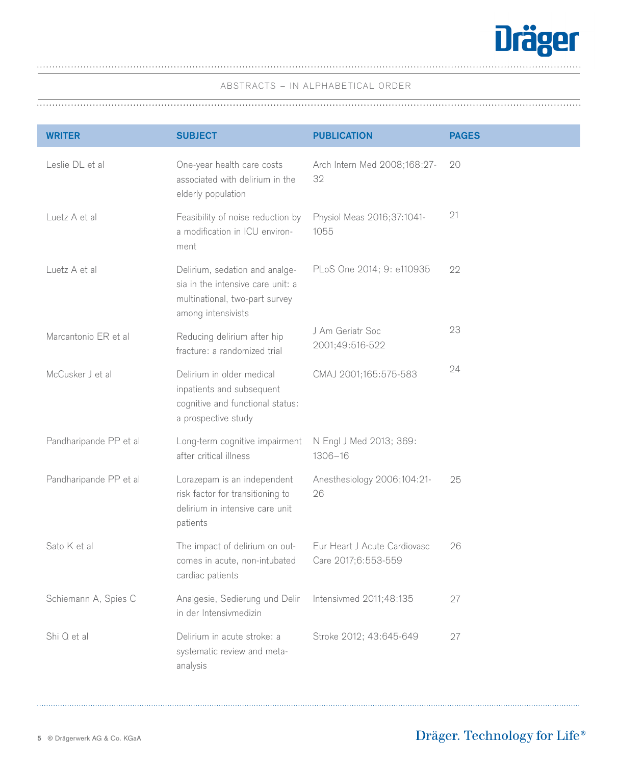

| <b>WRITER</b>          | <b>SUBJECT</b>                                                                                                              | <b>PUBLICATION</b>                                  | <b>PAGES</b> |
|------------------------|-----------------------------------------------------------------------------------------------------------------------------|-----------------------------------------------------|--------------|
| Leslie DL et al        | One-year health care costs<br>associated with delirium in the<br>elderly population                                         | Arch Intern Med 2008;168:27-<br>32                  | 20           |
| Luetz A et al          | Feasibility of noise reduction by<br>a modification in ICU environ-<br>ment                                                 | Physiol Meas 2016;37:1041-<br>1055                  | 21           |
| Luetz A et al          | Delirium, sedation and analge-<br>sia in the intensive care unit: a<br>multinational, two-part survey<br>among intensivists | PLoS One 2014; 9: e110935                           | 22           |
| Marcantonio ER et al   | Reducing delirium after hip<br>fracture: a randomized trial                                                                 | J Am Geriatr Soc<br>2001;49:516-522                 | 23           |
| McCusker J et al       | Delirium in older medical<br>inpatients and subsequent<br>cognitive and functional status:<br>a prospective study           | CMAJ 2001;165:575-583                               | 24           |
| Pandharipande PP et al | Long-term cognitive impairment<br>after critical illness                                                                    | N Engl J Med 2013; 369:<br>$1306 - 16$              |              |
| Pandharipande PP et al | Lorazepam is an independent<br>risk factor for transitioning to<br>delirium in intensive care unit<br>patients              | Anesthesiology 2006;104:21-<br>26                   | 25           |
| Sato K et al           | The impact of delirium on out-<br>comes in acute, non-intubated<br>cardiac patients                                         | Eur Heart J Acute Cardiovasc<br>Care 2017;6:553-559 | 26           |
| Schiemann A, Spies C   | Analgesie, Sedierung und Delir<br>in der Intensivmedizin                                                                    | Intensivmed 2011;48:135                             | 27           |
| Shi Q et al            | Delirium in acute stroke: a<br>systematic review and meta-<br>analysis                                                      | Stroke 2012; 43:645-649                             | 27           |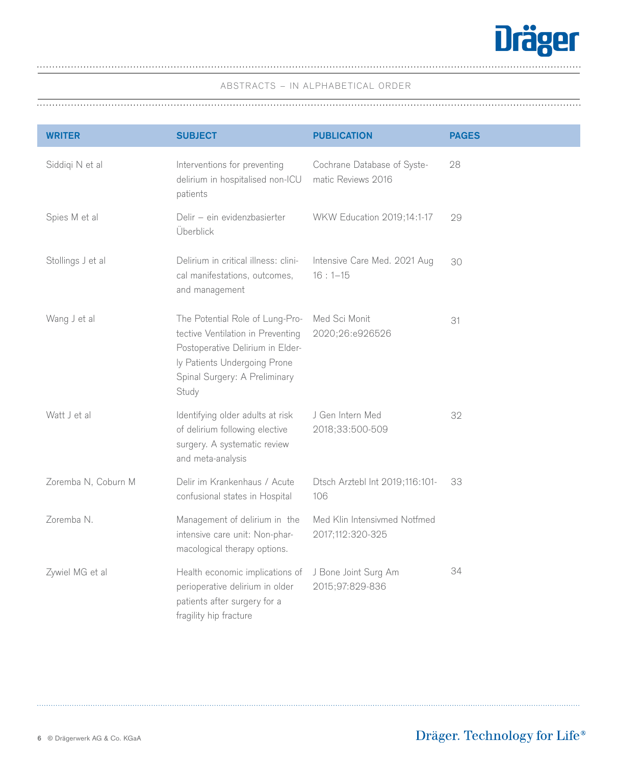

| <b>WRITER</b>       | <b>SUBJECT</b>                                                                                                                                                                     | <b>PUBLICATION</b>                                | <b>PAGES</b> |
|---------------------|------------------------------------------------------------------------------------------------------------------------------------------------------------------------------------|---------------------------------------------------|--------------|
| Siddiqi N et al     | Interventions for preventing<br>delirium in hospitalised non-ICU<br>patients                                                                                                       | Cochrane Database of Syste-<br>matic Reviews 2016 | 28           |
| Spies M et al       | Delir - ein evidenzbasierter<br>Überblick                                                                                                                                          | WKW Education 2019;14:1-17                        | 29           |
| Stollings J et al   | Delirium in critical illness: clini-<br>cal manifestations, outcomes,<br>and management                                                                                            | Intensive Care Med. 2021 Aug<br>$16:1 - 15$       | 30           |
| Wang J et al        | The Potential Role of Lung-Pro-<br>tective Ventilation in Preventing<br>Postoperative Delirium in Elder-<br>ly Patients Undergoing Prone<br>Spinal Surgery: A Preliminary<br>Study | Med Sci Monit<br>2020;26:e926526                  | 31           |
| Watt J et al        | Identifying older adults at risk<br>of delirium following elective<br>surgery. A systematic review<br>and meta-analysis                                                            | J Gen Intern Med<br>2018;33:500-509               | 32           |
| Zoremba N, Coburn M | Delir im Krankenhaus / Acute<br>confusional states in Hospital                                                                                                                     | Dtsch Arztebl Int 2019;116:101-<br>106            | 33           |
| Zoremba N.          | Management of delirium in the<br>intensive care unit: Non-phar-<br>macological therapy options.                                                                                    | Med Klin Intensivmed Notfmed<br>2017;112:320-325  |              |
| Zywiel MG et al     | Health economic implications of<br>perioperative delirium in older<br>patients after surgery for a<br>fragility hip fracture                                                       | J Bone Joint Surg Am<br>2015;97:829-836           | 34           |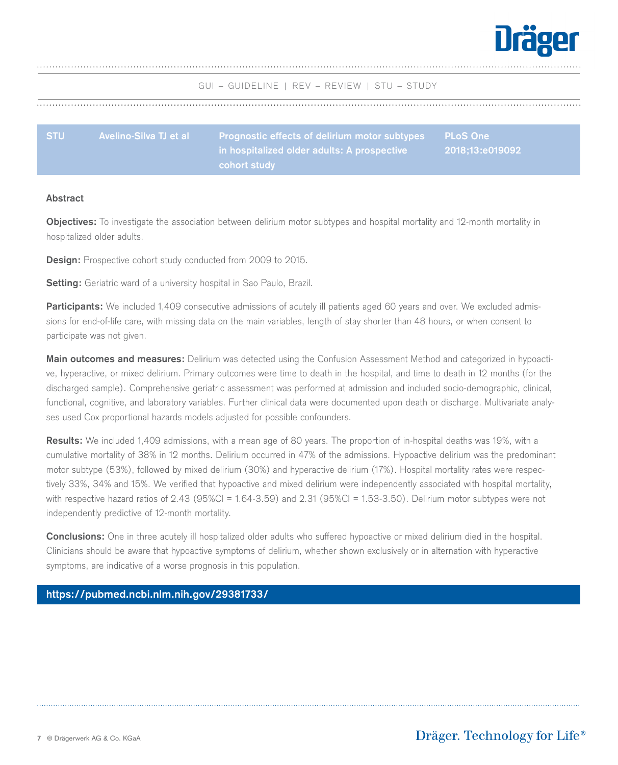

<span id="page-6-0"></span>

| <b>STU</b> | Avelino-Silva TJ et al | <b>Prognostic effects of delirium motor subtypes</b> | <b>PLoS One</b> |
|------------|------------------------|------------------------------------------------------|-----------------|
|            |                        | ,in hospitalized older adults: A prospective '       | 2018:13:e019092 |
|            |                        | cohort study                                         |                 |

#### **Abstract**

**Objectives:** To investigate the association between delirium motor subtypes and hospital mortality and 12-month mortality in hospitalized older adults.

**Design:** Prospective cohort study conducted from 2009 to 2015.

**Setting:** Geriatric ward of a university hospital in Sao Paulo, Brazil.

Participants: We included 1,409 consecutive admissions of acutely ill patients aged 60 years and over. We excluded admissions for end-of-life care, with missing data on the main variables, length of stay shorter than 48 hours, or when consent to participate was not given.

**Main outcomes and measures:** Delirium was detected using the Confusion Assessment Method and categorized in hypoactive, hyperactive, or mixed delirium. Primary outcomes were time to death in the hospital, and time to death in 12 months (for the discharged sample). Comprehensive geriatric assessment was performed at admission and included socio-demographic, clinical, functional, cognitive, and laboratory variables. Further clinical data were documented upon death or discharge. Multivariate analyses used Cox proportional hazards models adjusted for possible confounders.

**Results:** We included 1,409 admissions, with a mean age of 80 years. The proportion of in-hospital deaths was 19%, with a cumulative mortality of 38% in 12 months. Delirium occurred in 47% of the admissions. Hypoactive delirium was the predominant motor subtype (53%), followed by mixed delirium (30%) and hyperactive delirium (17%). Hospital mortality rates were respectively 33%, 34% and 15%. We verified that hypoactive and mixed delirium were independently associated with hospital mortality, with respective hazard ratios of 2.43 (95%CI = 1.64-3.59) and 2.31 (95%CI = 1.53-3.50). Delirium motor subtypes were not independently predictive of 12-month mortality.

**Conclusions:** One in three acutely ill hospitalized older adults who suffered hypoactive or mixed delirium died in the hospital. Clinicians should be aware that hypoactive symptoms of delirium, whether shown exclusively or in alternation with hyperactive symptoms, are indicative of a worse prognosis in this population.

## **[https://pubmed.ncbi.nlm.nih.gov/29381733/](https://pubmed.ncbi.nlm.nih.gov/29381733/ )**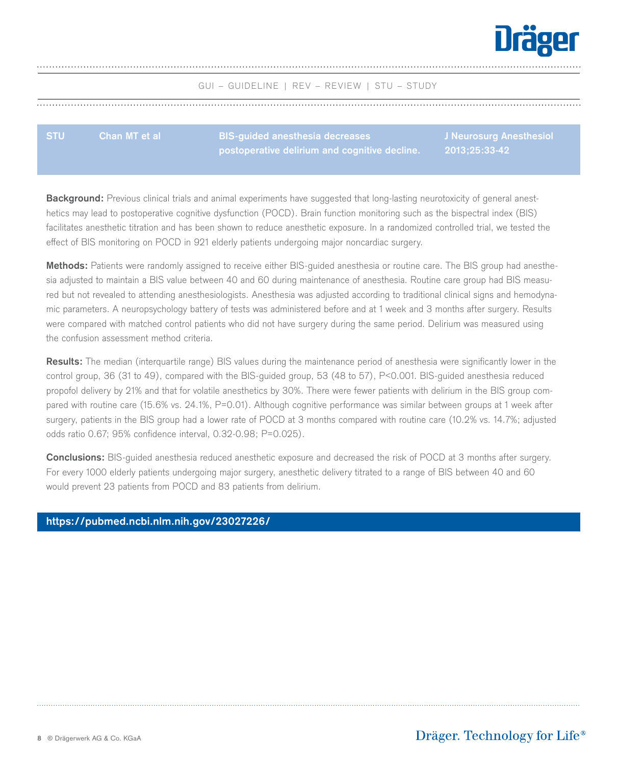

**J** Anesthesiol

**2013;25:33-42**

GUI – GUIDELINE | REV – REVIEW | STU – STUDY

<span id="page-7-0"></span>

| <b>STU</b> | <b>Chan MT et al</b> \ | BIS-quided anesthesia decreases               |        |
|------------|------------------------|-----------------------------------------------|--------|
|            |                        | postoperative delirium and cognitive decline. | 2013:2 |

**Background:** Previous clinical trials and animal experiments have suggested that long-lasting neurotoxicity of general anesthetics may lead to postoperative cognitive dysfunction (POCD). Brain function monitoring such as the bispectral index (BIS) facilitates anesthetic titration and has been shown to reduce anesthetic exposure. In a randomized controlled trial, we tested the effect of BIS monitoring on POCD in 921 elderly patients undergoing major noncardiac surgery.

**Methods:** Patients were randomly assigned to receive either BIS-guided anesthesia or routine care. The BIS group had anesthesia adjusted to maintain a BIS value between 40 and 60 during maintenance of anesthesia. Routine care group had BIS measured but not revealed to attending anesthesiologists. Anesthesia was adjusted according to traditional clinical signs and hemodynamic parameters. A neuropsychology battery of tests was administered before and at 1 week and 3 months after surgery. Results were compared with matched control patients who did not have surgery during the same period. Delirium was measured using the confusion assessment method criteria.

**Results:** The median (interquartile range) BIS values during the maintenance period of anesthesia were significantly lower in the control group, 36 (31 to 49), compared with the BIS-guided group, 53 (48 to 57), P<0.001. BIS-guided anesthesia reduced propofol delivery by 21% and that for volatile anesthetics by 30%. There were fewer patients with delirium in the BIS group compared with routine care (15.6% vs. 24.1%, P=0.01). Although cognitive performance was similar between groups at 1 week after surgery, patients in the BIS group had a lower rate of POCD at 3 months compared with routine care (10.2% vs. 14.7%; adjusted odds ratio 0.67; 95% confidence interval, 0.32-0.98; P=0.025).

**Conclusions:** BIS-guided anesthesia reduced anesthetic exposure and decreased the risk of POCD at 3 months after surgery. For every 1000 elderly patients undergoing major surgery, anesthetic delivery titrated to a range of BIS between 40 and 60 would prevent 23 patients from POCD and 83 patients from delirium.

#### **[https://pubmed.ncbi.nlm.nih.gov/23027226/](https://pubmed.ncbi.nlm.nih.gov/23027226/ )**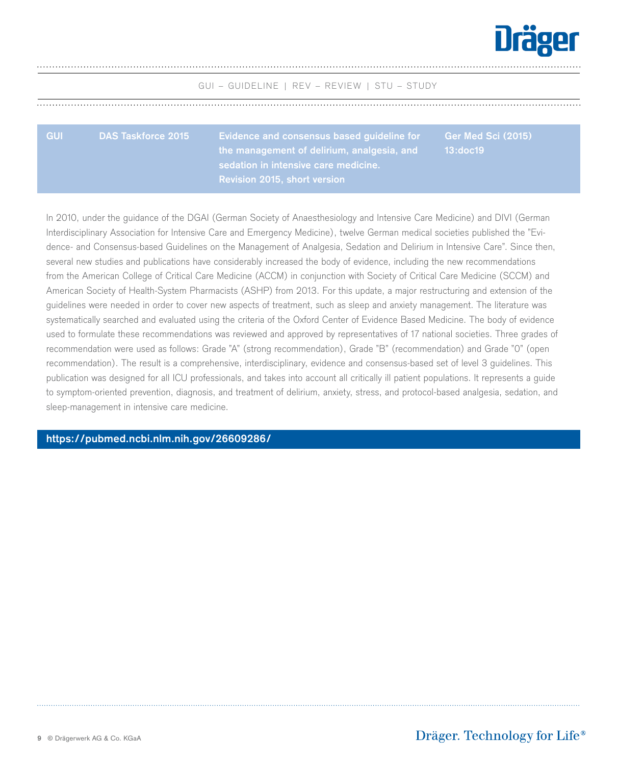

<span id="page-8-0"></span>

| <b>GUI</b> | <b>Evidence and consensus based guideline for</b><br>the management of delirium, analgesia, and | Ger Med Sci (2015)<br>13:doc19 |
|------------|-------------------------------------------------------------------------------------------------|--------------------------------|
|            | sedation in intensive care medicine.<br><b>Revision 2015, short version</b>                     |                                |

In 2010, under the guidance of the DGAI (German Society of Anaesthesiology and Intensive Care Medicine) and DIVI (German Interdisciplinary Association for Intensive Care and Emergency Medicine), twelve German medical societies published the "Evidence- and Consensus-based Guidelines on the Management of Analgesia, Sedation and Delirium in Intensive Care". Since then, several new studies and publications have considerably increased the body of evidence, including the new recommendations from the American College of Critical Care Medicine (ACCM) in conjunction with Society of Critical Care Medicine (SCCM) and American Society of Health-System Pharmacists (ASHP) from 2013. For this update, a major restructuring and extension of the guidelines were needed in order to cover new aspects of treatment, such as sleep and anxiety management. The literature was systematically searched and evaluated using the criteria of the Oxford Center of Evidence Based Medicine. The body of evidence used to formulate these recommendations was reviewed and approved by representatives of 17 national societies. Three grades of recommendation were used as follows: Grade "A" (strong recommendation), Grade "B" (recommendation) and Grade "0" (open recommendation). The result is a comprehensive, interdisciplinary, evidence and consensus-based set of level 3 guidelines. This publication was designed for all ICU professionals, and takes into account all critically ill patient populations. It represents a guide to symptom-oriented prevention, diagnosis, and treatment of delirium, anxiety, stress, and protocol-based analgesia, sedation, and sleep-management in intensive care medicine.

**[https://pubmed.ncbi.nlm.nih.gov/26609286/](https://pubmed.ncbi.nlm.nih.gov/26609286/ )**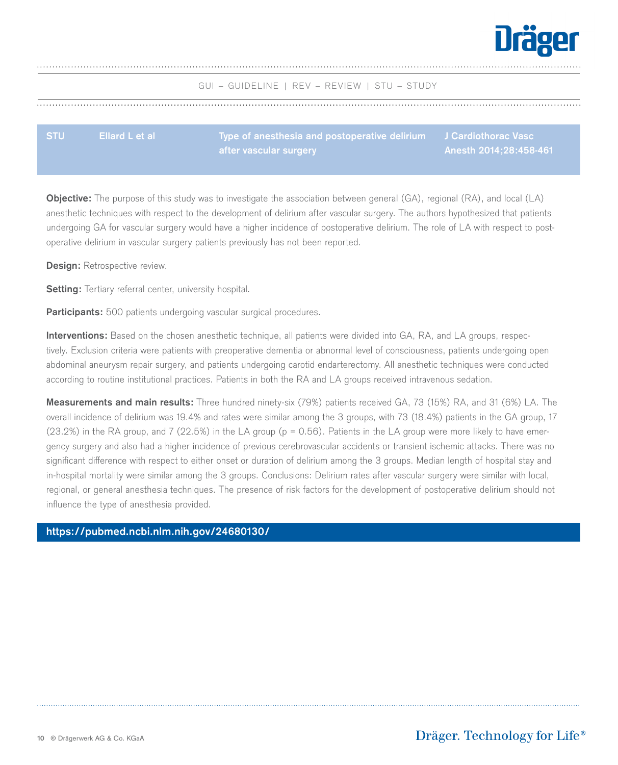

| <b>STU</b> | Ellard L et al | Type of anesthesia and postoperative delirium J Cardiothorac Vasc |                        |
|------------|----------------|-------------------------------------------------------------------|------------------------|
|            |                | after vascular surgery                                            | Anesth 2014;28:458-461 |

**Objective:** The purpose of this study was to investigate the association between general (GA), regional (RA), and local (LA) anesthetic techniques with respect to the development of delirium after vascular surgery. The authors hypothesized that patients undergoing GA for vascular surgery would have a higher incidence of postoperative delirium. The role of LA with respect to postoperative delirium in vascular surgery patients previously has not been reported.

**Design: Retrospective review.** 

<span id="page-9-0"></span>

**Setting:** Tertiary referral center, university hospital.

**Participants:** 500 patients undergoing vascular surgical procedures.

**Interventions:** Based on the chosen anesthetic technique, all patients were divided into GA, RA, and LA groups, respectively. Exclusion criteria were patients with preoperative dementia or abnormal level of consciousness, patients undergoing open abdominal aneurysm repair surgery, and patients undergoing carotid endarterectomy. All anesthetic techniques were conducted according to routine institutional practices. Patients in both the RA and LA groups received intravenous sedation.

**Measurements and main results:** Three hundred ninety-six (79%) patients received GA, 73 (15%) RA, and 31 (6%) LA. The overall incidence of delirium was 19.4% and rates were similar among the 3 groups, with 73 (18.4%) patients in the GA group, 17  $(23.2%)$  in the RA group, and 7  $(22.5%)$  in the LA group ( $p = 0.56$ ). Patients in the LA group were more likely to have emergency surgery and also had a higher incidence of previous cerebrovascular accidents or transient ischemic attacks. There was no significant difference with respect to either onset or duration of delirium among the 3 groups. Median length of hospital stay and in-hospital mortality were similar among the 3 groups. Conclusions: Delirium rates after vascular surgery were similar with local, regional, or general anesthesia techniques. The presence of risk factors for the development of postoperative delirium should not influence the type of anesthesia provided.

#### **[https://pubmed.ncbi.nlm.nih.gov/24680130/](https://pubmed.ncbi.nlm.nih.gov/24680130/ )**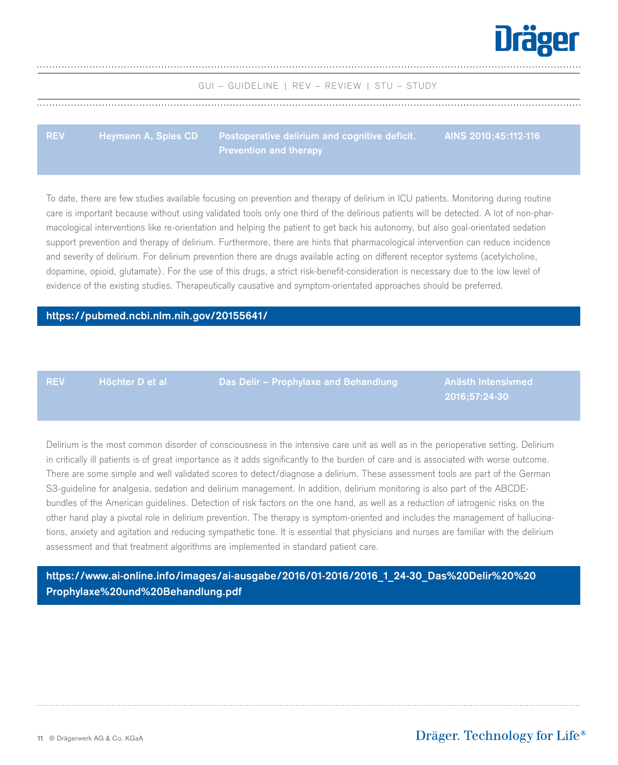

<span id="page-10-0"></span>**REV Heymann A, Spies CD Postoperative delirium and cognitive deficit. Prevention and therapy AINS 2010;45:112-116**

To date, there are few studies available focusing on prevention and therapy of delirium in ICU patients. Monitoring during routine care is important because without using validated tools only one third of the delirious patients will be detected. A lot of non-pharmacological interventions like re-orientation and helping the patient to get back his autonomy, but also goal-orientated sedation support prevention and therapy of delirium. Furthermore, there are hints that pharmacological intervention can reduce incidence and severity of delirium. For delirium prevention there are drugs available acting on different receptor systems (acetylcholine, dopamine, opioid, glutamate). For the use of this drugs, a strict risk-benefit-consideration is necessary due to the low level of evidence of the existing studies. Therapeutically causative and symptom-orientated approaches should be preferred.

#### **[https://pubmed.ncbi.nlm.nih.gov/20155641/](https://pubmed.ncbi.nlm.nih.gov/20155641/ )**

**REV**

**Höchter D et al**

**Das Delir – Prophylaxe and Behandlung**

**Anästh Intensivmed 2016;57:24-30**

Delirium is the most common disorder of consciousness in the intensive care unit as well as in the perioperative setting. Delirium in critically ill patients is of great importance as it adds significantly to the burden of care and is associated with worse outcome. There are some simple and well validated scores to detect/diagnose a delirium. These assessment tools are part of the German S3-guideline for analgesia, sedation and delirium management. In addition, delirium monitoring is also part of the ABCDEbundles of the American guidelines. Detection of risk factors on the one hand, as well as a reduction of iatrogenic risks on the other hand play a pivotal role in delirium prevention. The therapy is symptom-oriented and includes the management of hallucinations, anxiety and agitation and reducing sympathetic tone. It is essential that physicians and nurses are familiar with the delirium assessment and that treatment algorithms are implemented in standard patient care.

**[https://www.ai-online.info/images/ai-ausgabe/2016/01-2016/2016\\_1\\_24-30\\_Das%20Delir%20%20](https://www.ai-online.info/images/ai-ausgabe/2016/01-2016/2016_1_24-30_Das%20Delir%20%20Prophylaxe%20und%20Behandlung.pdf ) Prophylaxe%20und%20Behandlung.pdf**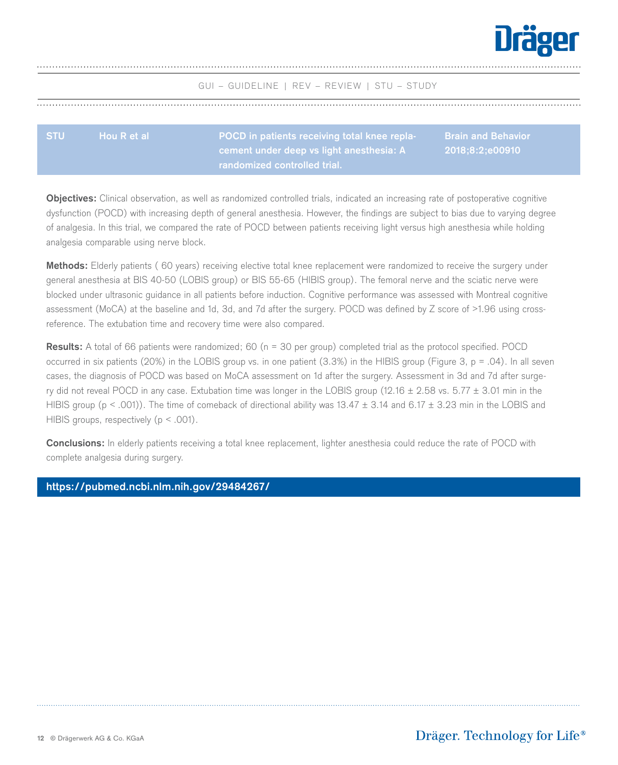

**cement under deep vs light anesthesia: A** 

# <span id="page-11-0"></span>**STU Hou R et al POCD in patients receiving total knee repla-Brain and Behavior**

**2018;8:2;e00910**

**Objectives:** Clinical observation, as well as randomized controlled trials, indicated an increasing rate of postoperative cognitive dysfunction (POCD) with increasing depth of general anesthesia. However, the findings are subject to bias due to varying degree of analgesia. In this trial, we compared the rate of POCD between patients receiving light versus high anesthesia while holding analgesia comparable using nerve block.

**Methods:** Elderly patients (≧60 years) receiving elective total knee replacement were randomized to receive the surgery under general anesthesia at BIS 40-50 (LOBIS group) or BIS 55-65 (HIBIS group). The femoral nerve and the sciatic nerve were blocked under ultrasonic guidance in all patients before induction. Cognitive performance was assessed with Montreal cognitive assessment (MoCA) at the baseline and 1d, 3d, and 7d after the surgery. POCD was defined by Z score of >1.96 using crossreference. The extubation time and recovery time were also compared.

**Results:** A total of 66 patients were randomized; 60 (n = 30 per group) completed trial as the protocol specified. POCD occurred in six patients (20%) in the LOBIS group vs. in one patient (3.3%) in the HIBIS group (Figure 3, p = .04). In all seven cases, the diagnosis of POCD was based on MoCA assessment on 1d after the surgery. Assessment in 3d and 7d after surgery did not reveal POCD in any case. Extubation time was longer in the LOBIS group (12.16  $\pm$  2.58 vs. 5.77  $\pm$  3.01 min in the HIBIS group ( $p < .001$ )). The time of comeback of directional ability was 13.47  $\pm$  3.14 and 6.17  $\pm$  3.23 min in the LOBIS and HIBIS groups, respectively  $(p < .001)$ .

**Conclusions:** In elderly patients receiving a total knee replacement, lighter anesthesia could reduce the rate of POCD with complete analgesia during surgery.

## **[https://pubmed.ncbi.nlm.nih.gov/29484267/](https://pubmed.ncbi.nlm.nih.gov/29484267/ )**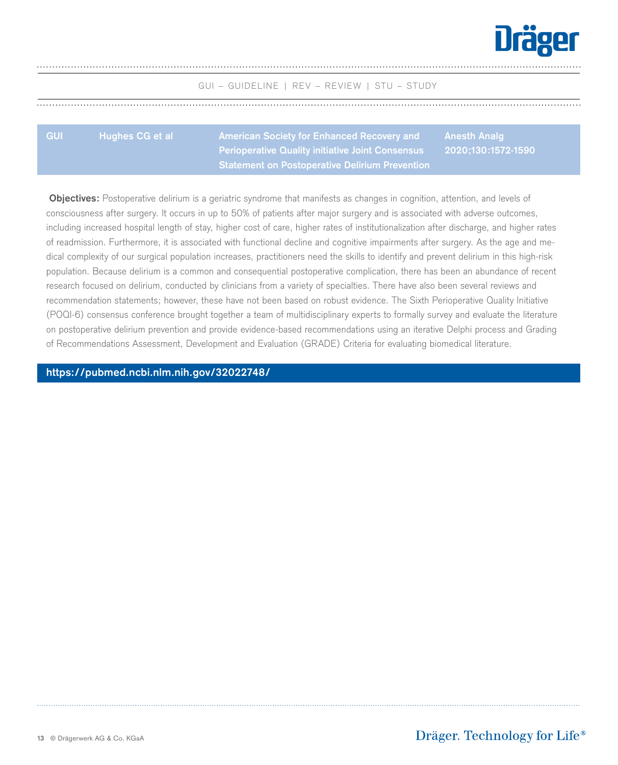

**Anesth Analg 2020;130:1572-1590**

GUI – GUIDELINE | REV – REVIEW | STU – STUDY

<span id="page-12-0"></span>

| <b>GUI</b> | <b>Hughes CG et al</b> | American Society for Enhanced Recovery and       | Anesth Ana |
|------------|------------------------|--------------------------------------------------|------------|
|            |                        | Perioperative Quality initiative Joint Consensus | 2020:130:1 |
|            |                        | Statement on Postoperative Delirium Prevention   |            |

 **Objectives:** Postoperative delirium is a geriatric syndrome that manifests as changes in cognition, attention, and levels of consciousness after surgery. It occurs in up to 50% of patients after major surgery and is associated with adverse outcomes, including increased hospital length of stay, higher cost of care, higher rates of institutionalization after discharge, and higher rates of readmission. Furthermore, it is associated with functional decline and cognitive impairments after surgery. As the age and medical complexity of our surgical population increases, practitioners need the skills to identify and prevent delirium in this high-risk population. Because delirium is a common and consequential postoperative complication, there has been an abundance of recent research focused on delirium, conducted by clinicians from a variety of specialties. There have also been several reviews and recommendation statements; however, these have not been based on robust evidence. The Sixth Perioperative Quality Initiative (POQI-6) consensus conference brought together a team of multidisciplinary experts to formally survey and evaluate the literature on postoperative delirium prevention and provide evidence-based recommendations using an iterative Delphi process and Grading of Recommendations Assessment, Development and Evaluation (GRADE) Criteria for evaluating biomedical literature.

**[https://pubmed.ncbi.nlm.nih.gov/32022748/](https://pubmed.ncbi.nlm.nih.gov/32022748/ )**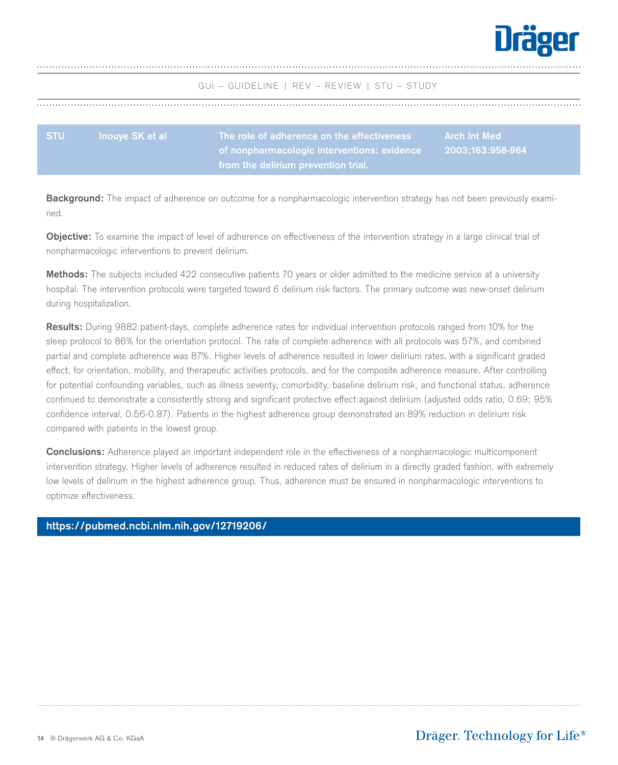

<span id="page-13-0"></span>

| <b>STU</b> | <b>Inouve SK et al</b> | . The role of adherence on the effectiveness $^{\dagger}$ | Arch Int Med     |
|------------|------------------------|-----------------------------------------------------------|------------------|
|            |                        | of nonpharmacologic interventions: evidence               | 2003:163:958-964 |
|            |                        | from the delirium prevention trial.                       |                  |

**Background:** The impact of adherence on outcome for a nonpharmacologic intervention strategy has not been previously examined.

**Objective:** To examine the impact of level of adherence on effectiveness of the intervention strategy in a large clinical trial of nonpharmacologic interventions to prevent delirium.

**Methods:** The subjects included 422 consecutive patients 70 years or older admitted to the medicine service at a university hospital. The intervention protocols were targeted toward 6 delirium risk factors. The primary outcome was new-onset delirium during hospitalization.

**Results:** During 9882 patient-days, complete adherence rates for individual intervention protocols ranged from 10% for the sleep protocol to 86% for the orientation protocol. The rate of complete adherence with all protocols was 57%, and combined partial and complete adherence was 87%. Higher levels of adherence resulted in lower delirium rates, with a significant graded effect, for orientation, mobility, and therapeutic activities protocols, and for the composite adherence measure. After controlling for potential confounding variables, such as illness severity, comorbidity, baseline delirium risk, and functional status, adherence continued to demonstrate a consistently strong and significant protective effect against delirium (adjusted odds ratio, 0.69; 95% confidence interval, 0.56-0.87). Patients in the highest adherence group demonstrated an 89% reduction in delirium risk compared with patients in the lowest group.

**Conclusions:** Adherence played an important independent role in the effectiveness of a nonpharmacologic multicomponent intervention strategy. Higher levels of adherence resulted in reduced rates of delirium in a directly graded fashion, with extremely low levels of delirium in the highest adherence group. Thus, adherence must be ensured in nonpharmacologic interventions to optimize effectiveness.

## **[https://pubmed.ncbi.nlm.nih.gov/12719206/](https://pubmed.ncbi.nlm.nih.gov/12719206/ )**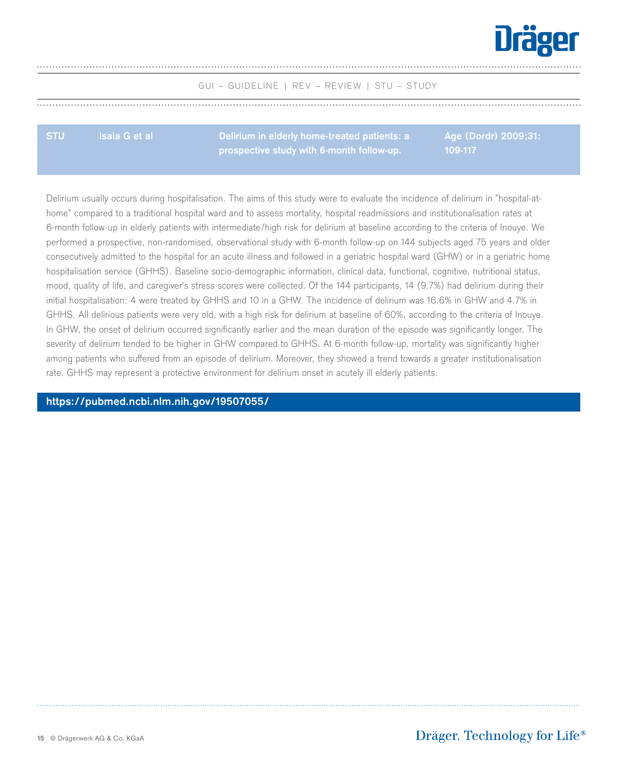

<span id="page-14-0"></span>**STU Isaia G et al Delirium in elderly home-treated patients: a prospective study with 6-month follow-up.**

**Age (Dordr) 2009;31: 109-117**

Delirium usually occurs during hospitalisation. The aims of this study were to evaluate the incidence of delirium in "hospital-athome" compared to a traditional hospital ward and to assess mortality, hospital readmissions and institutionalisation rates at 6-month follow-up in elderly patients with intermediate/high risk for delirium at baseline according to the criteria of Inouye. We performed a prospective, non-randomised, observational study with 6-month follow-up on 144 subjects aged 75 years and older consecutively admitted to the hospital for an acute illness and followed in a geriatric hospital ward (GHW) or in a geriatric home hospitalisation service (GHHS). Baseline socio-demographic information, clinical data, functional, cognitive, nutritional status, mood, quality of life, and caregiver's stress scores were collected. Of the 144 participants, 14 (9.7%) had delirium during their initial hospitalisation: 4 were treated by GHHS and 10 in a GHW. The incidence of delirium was 16.6% in GHW and 4.7% in GHHS. All delirious patients were very old, with a high risk for delirium at baseline of 60%, according to the criteria of Inouye. In GHW, the onset of delirium occurred significantly earlier and the mean duration of the episode was significantly longer. The severity of delirium tended to be higher in GHW compared to GHHS. At 6-month follow-up, mortality was significantly higher among patients who suffered from an episode of delirium. Moreover, they showed a trend towards a greater institutionalisation rate. GHHS may represent a protective environment for delirium onset in acutely ill elderly patients.

**[https://pubmed.ncbi.nlm.nih.gov/19507055/](https://pubmed.ncbi.nlm.nih.gov/19507055/ )**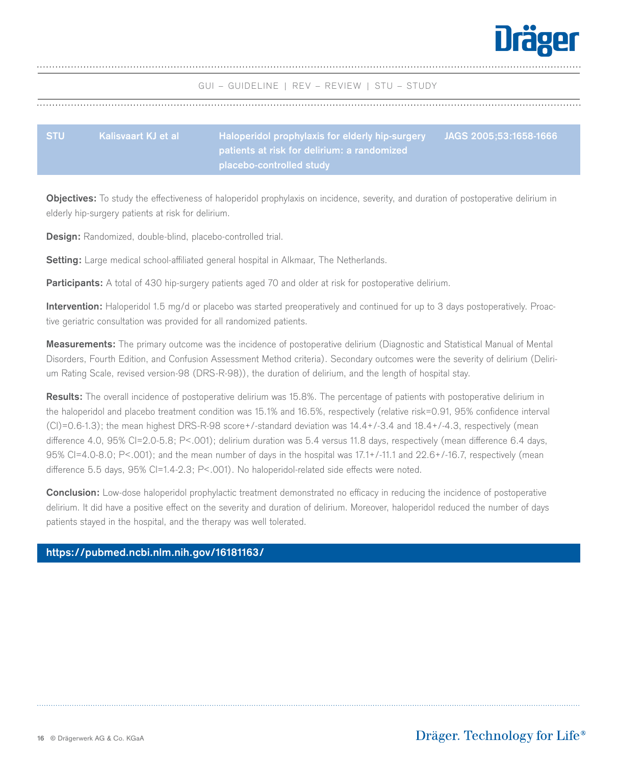

<span id="page-15-0"></span>

| <b>STU</b> | Kalisvaart KJ et al | 、Haloperidol prophylaxis for elderly hip-surgery ' | JAGS 2005;53:1658-1666 |
|------------|---------------------|----------------------------------------------------|------------------------|
|            |                     | , patients at risk for delirium: a randomized l    |                        |
|            |                     | placebo-controlled study                           |                        |

**Objectives:** To study the effectiveness of haloperidol prophylaxis on incidence, severity, and duration of postoperative delirium in elderly hip-surgery patients at risk for delirium.

**Design:** Randomized, double-blind, placebo-controlled trial.

**Setting:** Large medical school-affiliated general hospital in Alkmaar, The Netherlands.

Participants: A total of 430 hip-surgery patients aged 70 and older at risk for postoperative delirium.

**Intervention:** Haloperidol 1.5 mg/d or placebo was started preoperatively and continued for up to 3 days postoperatively. Proactive geriatric consultation was provided for all randomized patients.

**Measurements:** The primary outcome was the incidence of postoperative delirium (Diagnostic and Statistical Manual of Mental Disorders, Fourth Edition, and Confusion Assessment Method criteria). Secondary outcomes were the severity of delirium (Delirium Rating Scale, revised version-98 (DRS-R-98)), the duration of delirium, and the length of hospital stay.

**Results:** The overall incidence of postoperative delirium was 15.8%. The percentage of patients with postoperative delirium in the haloperidol and placebo treatment condition was 15.1% and 16.5%, respectively (relative risk=0.91, 95% confidence interval  $(CI) = 0.6-1.3$ ; the mean highest DRS-R-98 score+/-standard deviation was  $14.4+/3.4$  and  $18.4+/4.3$ , respectively (mean difference 4.0, 95% CI=2.0-5.8; P<.001); delirium duration was 5.4 versus 11.8 days, respectively (mean difference 6.4 days, 95% CI=4.0-8.0; P<.001); and the mean number of days in the hospital was 17.1+/-11.1 and 22.6+/-16.7, respectively (mean difference 5.5 days, 95% CI=1.4-2.3; P<.001). No haloperidol-related side effects were noted.

**Conclusion:** Low-dose haloperidol prophylactic treatment demonstrated no efficacy in reducing the incidence of postoperative delirium. It did have a positive effect on the severity and duration of delirium. Moreover, haloperidol reduced the number of days patients stayed in the hospital, and the therapy was well tolerated.

## **[https://pubmed.ncbi.nlm.nih.gov/16181163/](https://pubmed.ncbi.nlm.nih.gov/16181163/  )**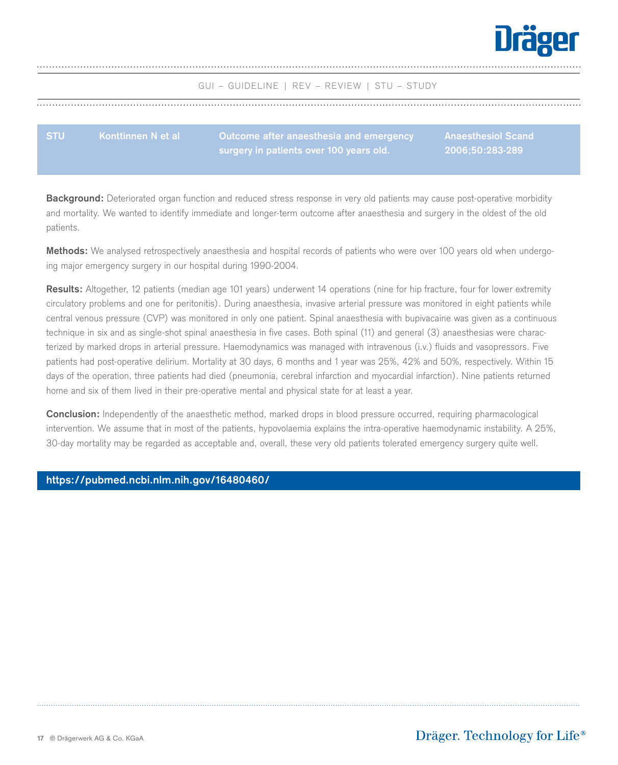

<span id="page-16-0"></span>**STU Konttinnen N et al Outcome after anaesthesia and emergency surgery in patients over 100 years old.**

**Anaesthesiol Scand 2006;50:283-289**

**Background:** Deteriorated organ function and reduced stress response in very old patients may cause post-operative morbidity and mortality. We wanted to identify immediate and longer-term outcome after anaesthesia and surgery in the oldest of the old patients.

**Methods:** We analysed retrospectively anaesthesia and hospital records of patients who were over 100 years old when undergoing major emergency surgery in our hospital during 1990-2004.

**Results:** Altogether, 12 patients (median age 101 years) underwent 14 operations (nine for hip fracture, four for lower extremity circulatory problems and one for peritonitis). During anaesthesia, invasive arterial pressure was monitored in eight patients while central venous pressure (CVP) was monitored in only one patient. Spinal anaesthesia with bupivacaine was given as a continuous technique in six and as single-shot spinal anaesthesia in five cases. Both spinal (11) and general (3) anaesthesias were characterized by marked drops in arterial pressure. Haemodynamics was managed with intravenous (i.v.) fluids and vasopressors. Five patients had post-operative delirium. Mortality at 30 days, 6 months and 1 year was 25%, 42% and 50%, respectively. Within 15 days of the operation, three patients had died (pneumonia, cerebral infarction and myocardial infarction). Nine patients returned home and six of them lived in their pre-operative mental and physical state for at least a year.

**Conclusion:** Independently of the anaesthetic method, marked drops in blood pressure occurred, requiring pharmacological intervention. We assume that in most of the patients, hypovolaemia explains the intra-operative haemodynamic instability. A 25%, 30-day mortality may be regarded as acceptable and, overall, these very old patients tolerated emergency surgery quite well.

#### **[https://pubmed.ncbi.nlm.nih.gov/16480460/](https://pubmed.ncbi.nlm.nih.gov/16480460/ )**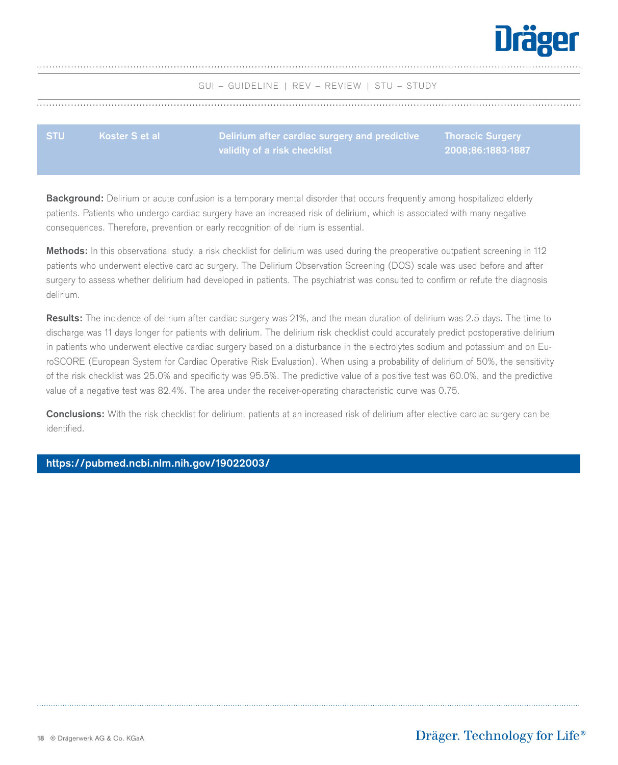

<span id="page-17-0"></span>

| <b>STU</b> | Koster S et al | Delirium after cardiac surgery and predictive | Thoracic Surgery  |
|------------|----------------|-----------------------------------------------|-------------------|
|            |                | validity of a risk checklist                  | 2008:86:1883-1887 |

**Background:** Delirium or acute confusion is a temporary mental disorder that occurs frequently among hospitalized elderly patients. Patients who undergo cardiac surgery have an increased risk of delirium, which is associated with many negative consequences. Therefore, prevention or early recognition of delirium is essential.

**Methods:** In this observational study, a risk checklist for delirium was used during the preoperative outpatient screening in 112 patients who underwent elective cardiac surgery. The Delirium Observation Screening (DOS) scale was used before and after surgery to assess whether delirium had developed in patients. The psychiatrist was consulted to confirm or refute the diagnosis delirium.

**Results:** The incidence of delirium after cardiac surgery was 21%, and the mean duration of delirium was 2.5 days. The time to discharge was 11 days longer for patients with delirium. The delirium risk checklist could accurately predict postoperative delirium in patients who underwent elective cardiac surgery based on a disturbance in the electrolytes sodium and potassium and on EuroSCORE (European System for Cardiac Operative Risk Evaluation). When using a probability of delirium of 50%, the sensitivity of the risk checklist was 25.0% and specificity was 95.5%. The predictive value of a positive test was 60.0%, and the predictive value of a negative test was 82.4%. The area under the receiver-operating characteristic curve was 0.75.

**Conclusions:** With the risk checklist for delirium, patients at an increased risk of delirium after elective cardiac surgery can be identified.

## **[https://pubmed.ncbi.nlm.nih.gov/19022003/](https://pubmed.ncbi.nlm.nih.gov/19022003/ )**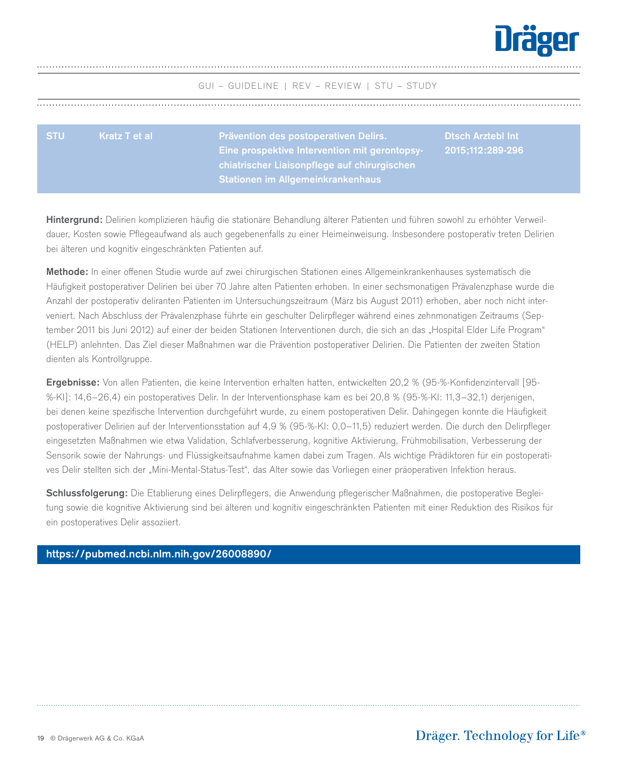

<span id="page-18-0"></span>

| <b>STU</b> | Kratz T et al | <b>Prävention des postoperativen Delirs.</b><br>Eine prospektive Intervention mit gerontopsy- | <b>Disch Arztebl Int</b> |
|------------|---------------|-----------------------------------------------------------------------------------------------|--------------------------|
|            |               | chiatrischer Liaisonpflege auf chirurgischen<br><b>Stationen im Allgemeinkrankenhaus</b>      |                          |

**Hintergrund:** Delirien komplizieren häufig die stationäre Behandlung älterer Patienten und führen sowohl zu erhöhter Verweildauer, Kosten sowie Pflegeaufwand als auch gegebenenfalls zu einer Heimeinweisung. Insbesondere postoperativ treten Delirien bei älteren und kognitiv eingeschränkten Patienten auf.

**Methode:** In einer offenen Studie wurde auf zwei chirurgischen Stationen eines Allgemeinkrankenhauses systematisch die Häufigkeit postoperativer Delirien bei über 70 Jahre alten Patienten erhoben. In einer sechsmonatigen Prävalenzphase wurde die Anzahl der postoperativ deliranten Patienten im Untersuchungszeitraum (März bis August 2011) erhoben, aber noch nicht interveniert. Nach Abschluss der Prävalenzphase führte ein geschulter Delirpfleger während eines zehnmonatigen Zeitraums (September 2011 bis Juni 2012) auf einer der beiden Stationen Interventionen durch, die sich an das "Hospital Elder Life Program" (HELP) anlehnten. Das Ziel dieser Maßnahmen war die Prävention postoperativer Delirien. Die Patienten der zweiten Station dienten als Kontrollgruppe.

**Ergebnisse:** Von allen Patienten, die keine Intervention erhalten hatten, entwickelten 20,2 % (95-%-Konfidenzintervall [95- %-KI]: 14,6–26,4) ein postoperatives Delir. In der Interventionsphase kam es bei 20,8 % (95-%-KI: 11,3–32,1) derjenigen, bei denen keine spezifische Intervention durchgeführt wurde, zu einem postoperativen Delir. Dahingegen konnte die Häufigkeit postoperativer Delirien auf der Interventionsstation auf 4,9 % (95-%-KI: 0,0–11,5) reduziert werden. Die durch den Delirpfleger eingesetzten Maßnahmen wie etwa Validation, Schlafverbesserung, kognitive Aktivierung, Frühmobilisation, Verbesserung der Sensorik sowie der Nahrungs- und Flüssigkeitsaufnahme kamen dabei zum Tragen. Als wichtige Prädiktoren für ein postoperatives Delir stellten sich der "Mini-Mental-Status-Test", das Alter sowie das Vorliegen einer präoperativen Infektion heraus.

**Schlussfolgerung:** Die Etablierung eines Delirpflegers, die Anwendung pflegerischer Maßnahmen, die postoperative Begleitung sowie die kognitive Aktivierung sind bei älteren und kognitiv eingeschränkten Patienten mit einer Reduktion des Risikos für ein postoperatives Delir assoziiert.

## **[https://pubmed.ncbi.nlm.nih.gov/26008890/](https://pubmed.ncbi.nlm.nih.gov/26008890/ )**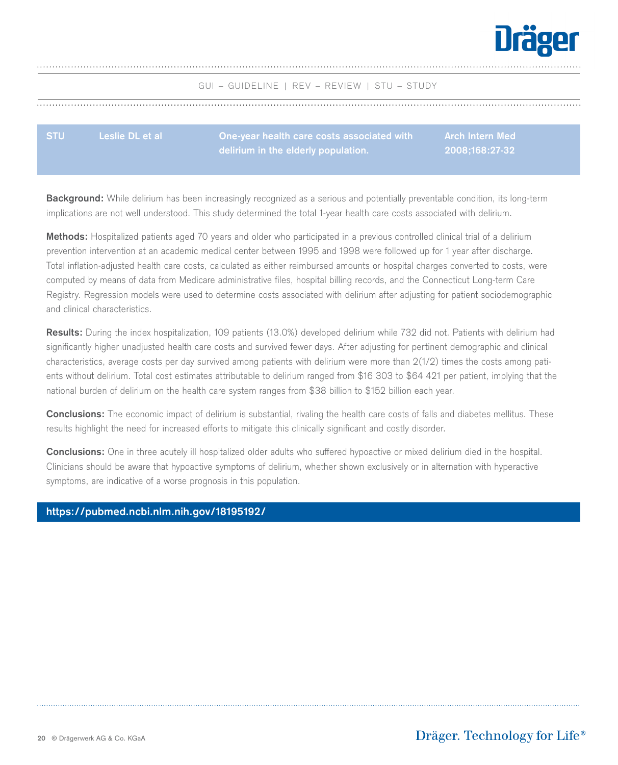

<span id="page-19-0"></span>

| <b>STU</b> | Leslie DL et al | One-year health care costs associated with | 「Arch Intern Med」 |
|------------|-----------------|--------------------------------------------|-------------------|
|            |                 | $\Box$ delirium in the elderly population. |                   |

**Background:** While delirium has been increasingly recognized as a serious and potentially preventable condition, its long-term implications are not well understood. This study determined the total 1-year health care costs associated with delirium.

**Methods:** Hospitalized patients aged 70 years and older who participated in a previous controlled clinical trial of a delirium prevention intervention at an academic medical center between 1995 and 1998 were followed up for 1 year after discharge. Total inflation-adjusted health care costs, calculated as either reimbursed amounts or hospital charges converted to costs, were computed by means of data from Medicare administrative files, hospital billing records, and the Connecticut Long-term Care Registry. Regression models were used to determine costs associated with delirium after adjusting for patient sociodemographic and clinical characteristics.

**Results:** During the index hospitalization, 109 patients (13.0%) developed delirium while 732 did not. Patients with delirium had significantly higher unadjusted health care costs and survived fewer days. After adjusting for pertinent demographic and clinical characteristics, average costs per day survived among patients with delirium were more than 2(1/2) times the costs among patients without delirium. Total cost estimates attributable to delirium ranged from \$16 303 to \$64 421 per patient, implying that the national burden of delirium on the health care system ranges from \$38 billion to \$152 billion each year.

**Conclusions:** The economic impact of delirium is substantial, rivaling the health care costs of falls and diabetes mellitus. These results highlight the need for increased efforts to mitigate this clinically significant and costly disorder.

**Conclusions:** One in three acutely ill hospitalized older adults who suffered hypoactive or mixed delirium died in the hospital. Clinicians should be aware that hypoactive symptoms of delirium, whether shown exclusively or in alternation with hyperactive symptoms, are indicative of a worse prognosis in this population.

#### **[https://pubmed.ncbi.nlm.nih.gov/18195192/](https://pubmed.ncbi.nlm.nih.gov/18195192/ )**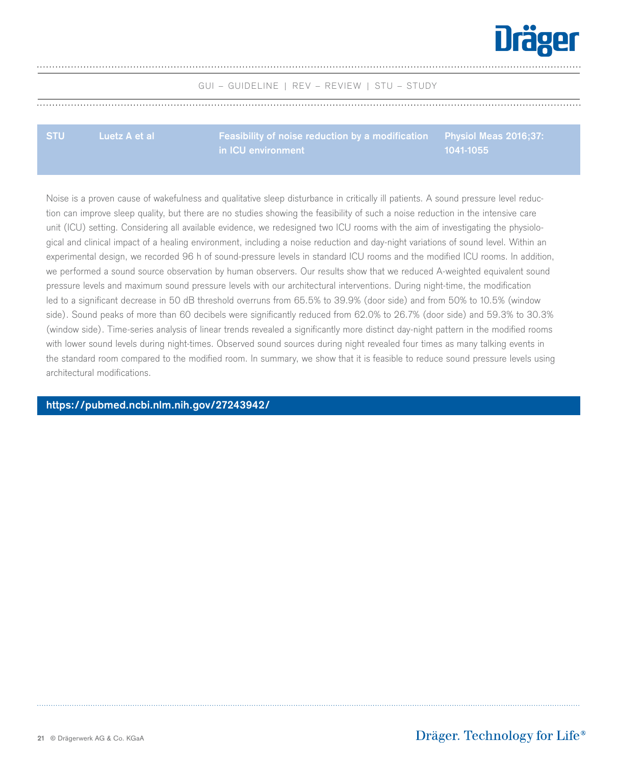

<span id="page-20-0"></span>

**in ICU environment**

**Physiol Meas 2016;37: 1041-1055**

Noise is a proven cause of wakefulness and qualitative sleep disturbance in critically ill patients. A sound pressure level reduction can improve sleep quality, but there are no studies showing the feasibility of such a noise reduction in the intensive care unit (ICU) setting. Considering all available evidence, we redesigned two ICU rooms with the aim of investigating the physiological and clinical impact of a healing environment, including a noise reduction and day-night variations of sound level. Within an experimental design, we recorded 96 h of sound-pressure levels in standard ICU rooms and the modified ICU rooms. In addition, we performed a sound source observation by human observers. Our results show that we reduced A-weighted equivalent sound pressure levels and maximum sound pressure levels with our architectural interventions. During night-time, the modification led to a significant decrease in 50 dB threshold overruns from 65.5% to 39.9% (door side) and from 50% to 10.5% (window side). Sound peaks of more than 60 decibels were significantly reduced from 62.0% to 26.7% (door side) and 59.3% to 30.3% (window side). Time-series analysis of linear trends revealed a significantly more distinct day-night pattern in the modified rooms with lower sound levels during night-times. Observed sound sources during night revealed four times as many talking events in the standard room compared to the modified room. In summary, we show that it is feasible to reduce sound pressure levels using architectural modifications.

**<https://pubmed.ncbi.nlm.nih.gov/27243942/>**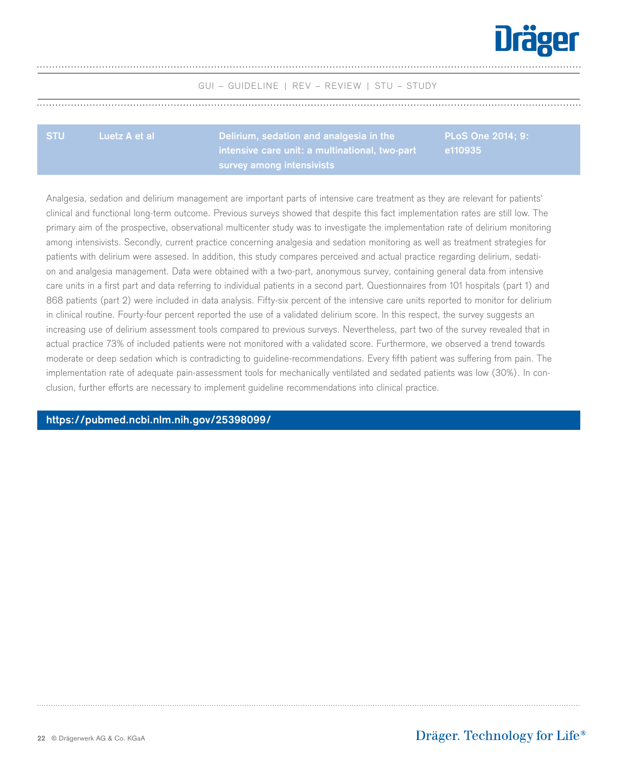

<span id="page-21-0"></span>**STU Luetz A et al Delirium, sedation and analgesia in the intensive care unit: a multinational, two-part survey among intensivists**

**PLoS One 2014; 9: e110935**

Analgesia, sedation and delirium management are important parts of intensive care treatment as they are relevant for patients' clinical and functional long-term outcome. Previous surveys showed that despite this fact implementation rates are still low. The primary aim of the prospective, observational multicenter study was to investigate the implementation rate of delirium monitoring among intensivists. Secondly, current practice concerning analgesia and sedation monitoring as well as treatment strategies for patients with delirium were assesed. In addition, this study compares perceived and actual practice regarding delirium, sedation and analgesia management. Data were obtained with a two-part, anonymous survey, containing general data from intensive care units in a first part and data referring to individual patients in a second part. Questionnaires from 101 hospitals (part 1) and 868 patients (part 2) were included in data analysis. Fifty-six percent of the intensive care units reported to monitor for delirium in clinical routine. Fourty-four percent reported the use of a validated delirium score. In this respect, the survey suggests an increasing use of delirium assessment tools compared to previous surveys. Nevertheless, part two of the survey revealed that in actual practice 73% of included patients were not monitored with a validated score. Furthermore, we observed a trend towards moderate or deep sedation which is contradicting to guideline-recommendations. Every fifth patient was suffering from pain. The implementation rate of adequate pain-assessment tools for mechanically ventilated and sedated patients was low (30%). In conclusion, further efforts are necessary to implement guideline recommendations into clinical practice.

**[https://pubmed.ncbi.nlm.nih.gov/25398099/](https://pubmed.ncbi.nlm.nih.gov/25398099/ )**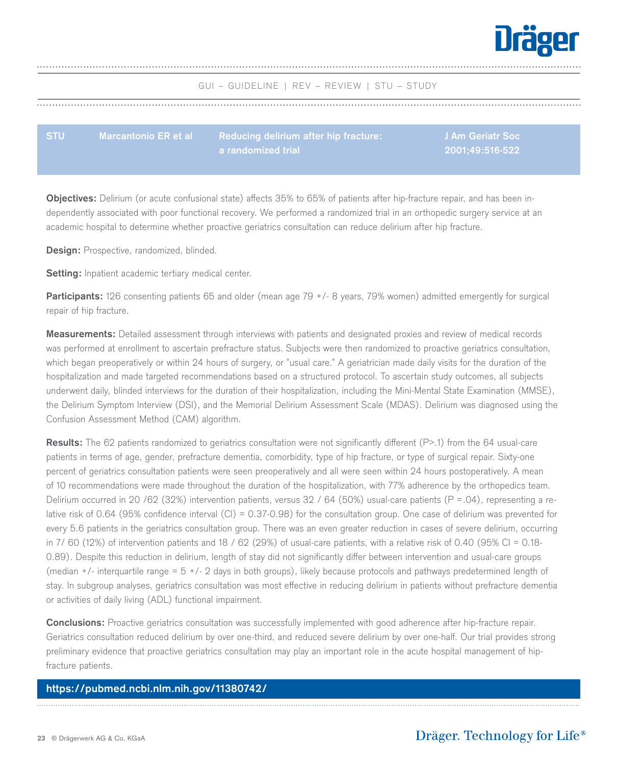

<span id="page-22-0"></span>

| <b>STU</b> | Marcantonio ER et al expredie Reducing delirium after hip fracture: | <b>J Am Geriatr Soc</b> |
|------------|---------------------------------------------------------------------|-------------------------|
|            | $\blacksquare$ a randomized trial $\blacksquare$                    | 2001:49:516-522         |

**Objectives:** Delirium (or acute confusional state) affects 35% to 65% of patients after hip-fracture repair, and has been independently associated with poor functional recovery. We performed a randomized trial in an orthopedic surgery service at an academic hospital to determine whether proactive geriatrics consultation can reduce delirium after hip fracture.

**Design:** Prospective, randomized, blinded.

**Setting:** Inpatient academic tertiary medical center.

**Participants:** 126 consenting patients 65 and older (mean age 79 +/- 8 years, 79% women) admitted emergently for surgical repair of hip fracture.

**Measurements:** Detailed assessment through interviews with patients and designated proxies and review of medical records was performed at enrollment to ascertain prefracture status. Subjects were then randomized to proactive geriatrics consultation, which began preoperatively or within 24 hours of surgery, or "usual care." A geriatrician made daily visits for the duration of the hospitalization and made targeted recommendations based on a structured protocol. To ascertain study outcomes, all subjects underwent daily, blinded interviews for the duration of their hospitalization, including the Mini-Mental State Examination (MMSE), the Delirium Symptom Interview (DSI), and the Memorial Delirium Assessment Scale (MDAS). Delirium was diagnosed using the Confusion Assessment Method (CAM) algorithm.

**Results:** The 62 patients randomized to geriatrics consultation were not significantly different (P>.1) from the 64 usual-care patients in terms of age, gender, prefracture dementia, comorbidity, type of hip fracture, or type of surgical repair. Sixty-one percent of geriatrics consultation patients were seen preoperatively and all were seen within 24 hours postoperatively. A mean of 10 recommendations were made throughout the duration of the hospitalization, with 77% adherence by the orthopedics team. Delirium occurred in 20 /62 (32%) intervention patients, versus 32 / 64 (50%) usual-care patients ( $P = .04$ ), representing a relative risk of 0.64 (95% confidence interval (CI) = 0.37-0.98) for the consultation group. One case of delirium was prevented for every 5.6 patients in the geriatrics consultation group. There was an even greater reduction in cases of severe delirium, occurring in 7/ 60 (12%) of intervention patients and 18 / 62 (29%) of usual-care patients, with a relative risk of 0.40 (95% CI = 0.18- 0.89). Despite this reduction in delirium, length of stay did not significantly differ between intervention and usual-care groups (median +/- interquartile range = 5 +/- 2 days in both groups), likely because protocols and pathways predetermined length of stay. In subgroup analyses, geriatrics consultation was most effective in reducing delirium in patients without prefracture dementia or activities of daily living (ADL) functional impairment.

**Conclusions:** Proactive geriatrics consultation was successfully implemented with good adherence after hip-fracture repair. Geriatrics consultation reduced delirium by over one-third, and reduced severe delirium by over one-half. Our trial provides strong preliminary evidence that proactive geriatrics consultation may play an important role in the acute hospital management of hipfracture patients.

#### **[https://pubmed.ncbi.nlm.nih.gov/11380742/](https://pubmed.ncbi.nlm.nih.gov/11380742/ )**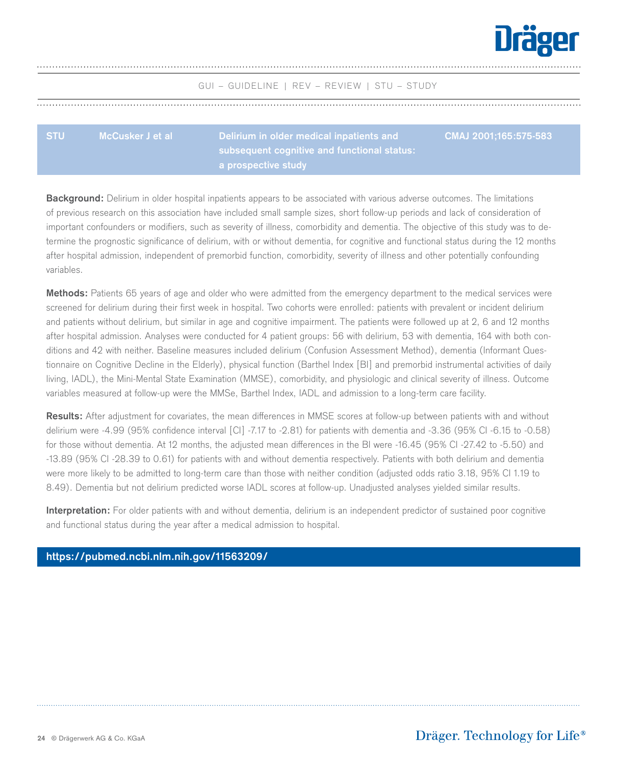

<span id="page-23-0"></span>

| <b>STU</b> | McCusker J et al | Delirium in older medical inpatients and      | $\,$ CMAJ 2001:165:575-583 |
|------------|------------------|-----------------------------------------------|----------------------------|
|            |                  | subsequent cognitive and functional status: \ |                            |
|            |                  | a prospective study                           |                            |

**Background:** Delirium in older hospital inpatients appears to be associated with various adverse outcomes. The limitations of previous research on this association have included small sample sizes, short follow-up periods and lack of consideration of important confounders or modifiers, such as severity of illness, comorbidity and dementia. The objective of this study was to determine the prognostic significance of delirium, with or without dementia, for cognitive and functional status during the 12 months after hospital admission, independent of premorbid function, comorbidity, severity of illness and other potentially confounding variables.

**Methods:** Patients 65 years of age and older who were admitted from the emergency department to the medical services were screened for delirium during their first week in hospital. Two cohorts were enrolled: patients with prevalent or incident delirium and patients without delirium, but similar in age and cognitive impairment. The patients were followed up at 2, 6 and 12 months after hospital admission. Analyses were conducted for 4 patient groups: 56 with delirium, 53 with dementia, 164 with both conditions and 42 with neither. Baseline measures included delirium (Confusion Assessment Method), dementia (Informant Questionnaire on Cognitive Decline in the Elderly), physical function (Barthel Index [BI] and premorbid instrumental activities of daily living, IADL), the Mini-Mental State Examination (MMSE), comorbidity, and physiologic and clinical severity of illness. Outcome variables measured at follow-up were the MMSe, Barthel Index, IADL and admission to a long-term care facility.

**Results:** After adjustment for covariates, the mean differences in MMSE scores at follow-up between patients with and without delirium were -4.99 (95% confidence interval [CI] -7.17 to -2.81) for patients with dementia and -3.36 (95% CI -6.15 to -0.58) for those without dementia. At 12 months, the adjusted mean differences in the BI were -16.45 (95% CI -27.42 to -5.50) and -13.89 (95% CI -28.39 to 0.61) for patients with and without dementia respectively. Patients with both delirium and dementia were more likely to be admitted to long-term care than those with neither condition (adjusted odds ratio 3.18, 95% CI 1.19 to 8.49). Dementia but not delirium predicted worse IADL scores at follow-up. Unadjusted analyses yielded similar results.

**Interpretation:** For older patients with and without dementia, delirium is an independent predictor of sustained poor cognitive and functional status during the year after a medical admission to hospital.

#### **<https://pubmed.ncbi.nlm.nih.gov/11563209/>**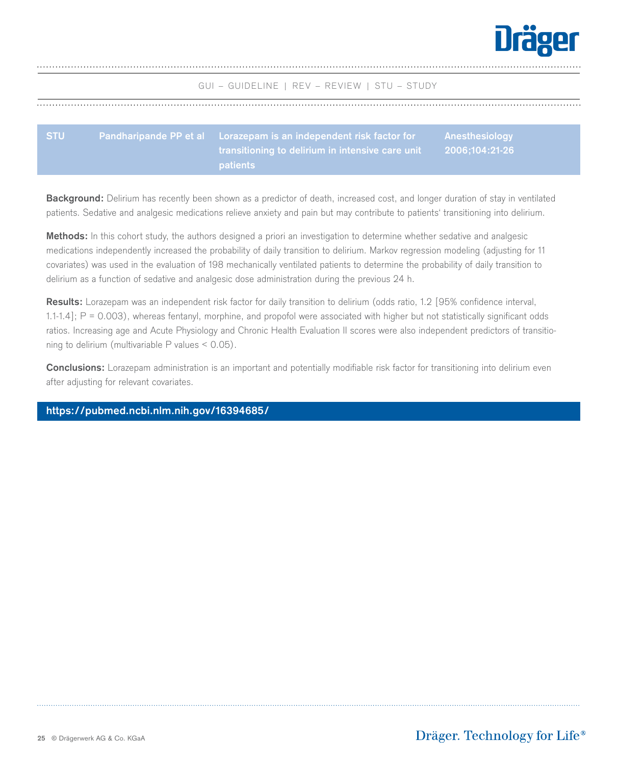

<span id="page-24-0"></span>

| <b>STU</b> | <u>landharipande PP et ala a Lorazepam is an independent risk factor for a l</u>                | <b>Anesthesiology</b> |
|------------|-------------------------------------------------------------------------------------------------|-----------------------|
|            | , transitioning to delirium in intensive care unit $\qquad \quad \  \, 2006;104:21$ -26 $\quad$ |                       |
|            | patients                                                                                        |                       |

**Background:** Delirium has recently been shown as a predictor of death, increased cost, and longer duration of stay in ventilated patients. Sedative and analgesic medications relieve anxiety and pain but may contribute to patients' transitioning into delirium.

**Methods:** In this cohort study, the authors designed a priori an investigation to determine whether sedative and analgesic medications independently increased the probability of daily transition to delirium. Markov regression modeling (adjusting for 11 covariates) was used in the evaluation of 198 mechanically ventilated patients to determine the probability of daily transition to delirium as a function of sedative and analgesic dose administration during the previous 24 h.

**Results:** Lorazepam was an independent risk factor for daily transition to delirium (odds ratio, 1.2 [95% confidence interval, 1.1-1.4]; P = 0.003), whereas fentanyl, morphine, and propofol were associated with higher but not statistically significant odds ratios. Increasing age and Acute Physiology and Chronic Health Evaluation II scores were also independent predictors of transitioning to delirium (multivariable P values < 0.05).

**Conclusions:** Lorazepam administration is an important and potentially modifiable risk factor for transitioning into delirium even after adjusting for relevant covariates.

## **[https://pubmed.ncbi.nlm.nih.gov/16394685/](https://pubmed.ncbi.nlm.nih.gov/16394685/ )**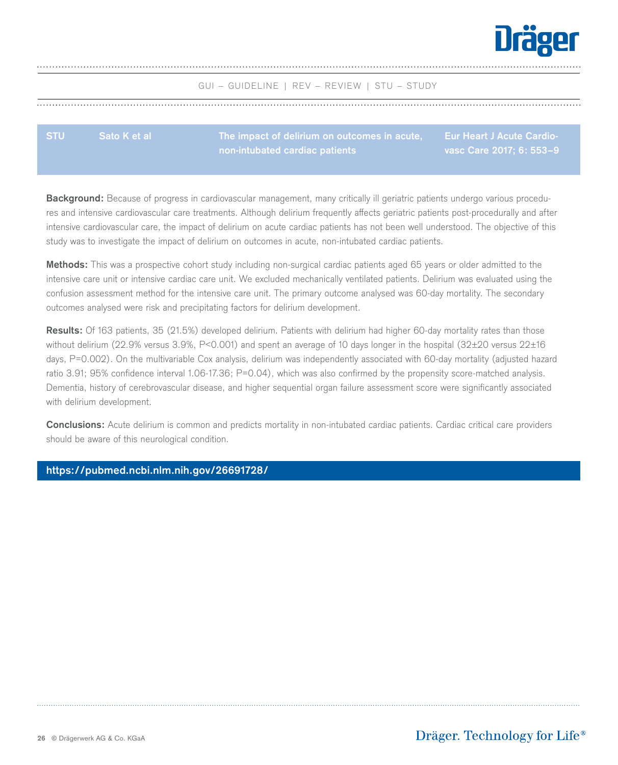

<span id="page-25-0"></span>

| <b>STU</b> | <b>Sato K et al</b> |                                |                          |
|------------|---------------------|--------------------------------|--------------------------|
|            |                     | non-intubated cardiac patients | vasc Care 2017; 6: 553-9 |

**Background:** Because of progress in cardiovascular management, many critically ill geriatric patients undergo various procedures and intensive cardiovascular care treatments. Although delirium frequently affects geriatric patients post-procedurally and after intensive cardiovascular care, the impact of delirium on acute cardiac patients has not been well understood. The objective of this study was to investigate the impact of delirium on outcomes in acute, non-intubated cardiac patients.

**Methods:** This was a prospective cohort study including non-surgical cardiac patients aged 65 years or older admitted to the intensive care unit or intensive cardiac care unit. We excluded mechanically ventilated patients. Delirium was evaluated using the confusion assessment method for the intensive care unit. The primary outcome analysed was 60-day mortality. The secondary outcomes analysed were risk and precipitating factors for delirium development.

**Results:** Of 163 patients, 35 (21.5%) developed delirium. Patients with delirium had higher 60-day mortality rates than those without delirium (22.9% versus 3.9%, P<0.001) and spent an average of 10 days longer in the hospital (32±20 versus 22±16 days, P=0.002). On the multivariable Cox analysis, delirium was independently associated with 60-day mortality (adjusted hazard ratio 3.91; 95% confidence interval 1.06-17.36; P=0.04), which was also confirmed by the propensity score-matched analysis. Dementia, history of cerebrovascular disease, and higher sequential organ failure assessment score were significantly associated with delirium development.

**Conclusions:** Acute delirium is common and predicts mortality in non-intubated cardiac patients. Cardiac critical care providers should be aware of this neurological condition.

## **[https://pubmed.ncbi.nlm.nih.gov/26691728/](https://pubmed.ncbi.nlm.nih.gov/26691728/  )**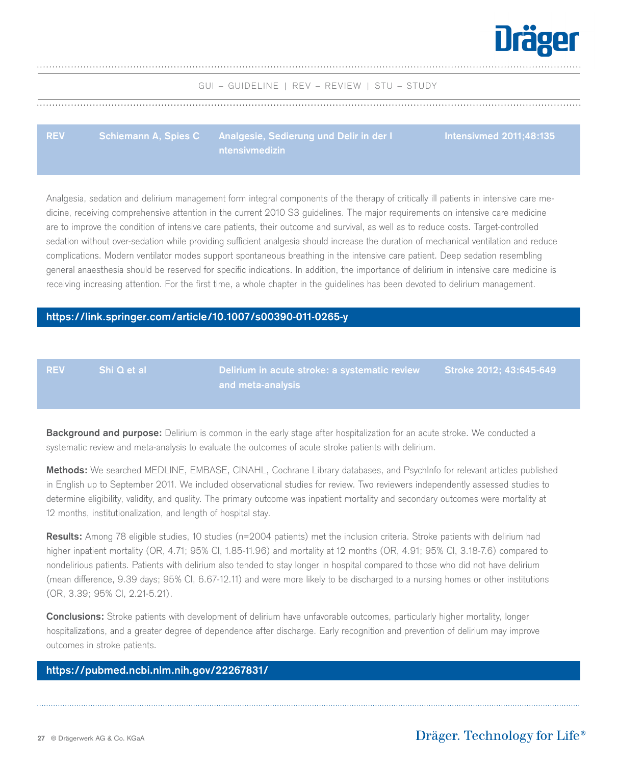

<span id="page-26-0"></span>**REV Schiemann A, Spies C Analgesie, Sedierung und Delir in der I ntensivmedizin**

**Intensivmed 2011;48:135**

Analgesia, sedation and delirium management form integral components of the therapy of critically ill patients in intensive care medicine, receiving comprehensive attention in the current 2010 S3 guidelines. The major requirements on intensive care medicine are to improve the condition of intensive care patients, their outcome and survival, as well as to reduce costs. Target-controlled sedation without over-sedation while providing sufficient analgesia should increase the duration of mechanical ventilation and reduce complications. Modern ventilator modes support spontaneous breathing in the intensive care patient. Deep sedation resembling general anaesthesia should be reserved for specific indications. In addition, the importance of delirium in intensive care medicine is receiving increasing attention. For the first time, a whole chapter in the guidelines has been devoted to delirium management.

#### **[https://link.springer.com/article/10.1007/s00390-011-0265-y](https://link.springer.com/article/10.1007/s00390-011-0265-y )**

**REV Shi Q et al** **Delirium in acute stroke: a systematic review and meta-analysis**

**Stroke 2012; 43:645-649**

**Background and purpose:** Delirium is common in the early stage after hospitalization for an acute stroke. We conducted a systematic review and meta-analysis to evaluate the outcomes of acute stroke patients with delirium.

**Methods:** We searched MEDLINE, EMBASE, CINAHL, Cochrane Library databases, and PsychInfo for relevant articles published in English up to September 2011. We included observational studies for review. Two reviewers independently assessed studies to determine eligibility, validity, and quality. The primary outcome was inpatient mortality and secondary outcomes were mortality at 12 months, institutionalization, and length of hospital stay.

**Results:** Among 78 eligible studies, 10 studies (n=2004 patients) met the inclusion criteria. Stroke patients with delirium had higher inpatient mortality (OR, 4.71; 95% CI, 1.85-11.96) and mortality at 12 months (OR, 4.91; 95% CI, 3.18-7.6) compared to nondelirious patients. Patients with delirium also tended to stay longer in hospital compared to those who did not have delirium (mean difference, 9.39 days; 95% CI, 6.67-12.11) and were more likely to be discharged to a nursing homes or other institutions (OR, 3.39; 95% CI, 2.21-5.21).

**Conclusions:** Stroke patients with development of delirium have unfavorable outcomes, particularly higher mortality, longer hospitalizations, and a greater degree of dependence after discharge. Early recognition and prevention of delirium may improve outcomes in stroke patients.

## **[https://pubmed.ncbi.nlm.nih.gov/22267831/](https://pubmed.ncbi.nlm.nih.gov/22267831/ )**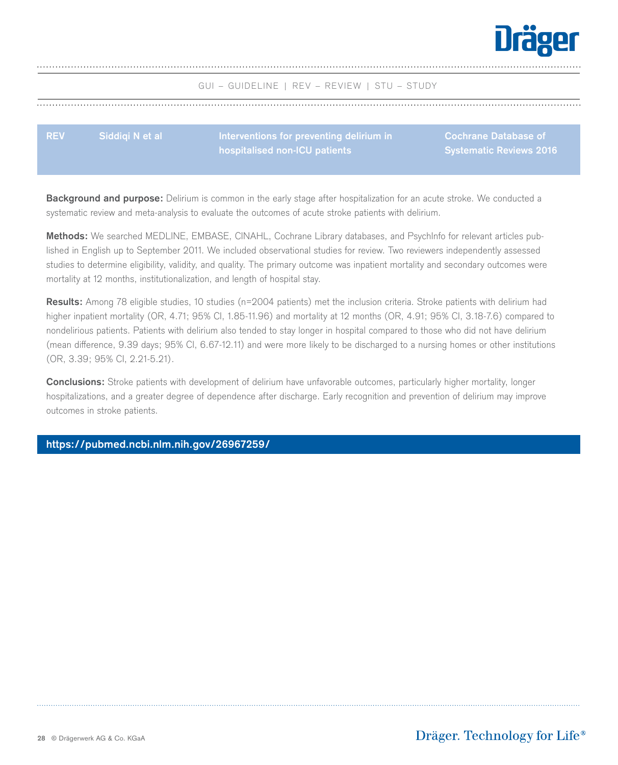

<span id="page-27-0"></span>**REV Siddiqi N et al Interventions for preventing delirium in hospitalised non-ICU patients Cochrane Database of Systematic Reviews 2016**

**Background and purpose:** Delirium is common in the early stage after hospitalization for an acute stroke. We conducted a systematic review and meta-analysis to evaluate the outcomes of acute stroke patients with delirium.

**Methods:** We searched MEDLINE, EMBASE, CINAHL, Cochrane Library databases, and PsychInfo for relevant articles published in English up to September 2011. We included observational studies for review. Two reviewers independently assessed studies to determine eligibility, validity, and quality. The primary outcome was inpatient mortality and secondary outcomes were mortality at 12 months, institutionalization, and length of hospital stay.

**Results:** Among 78 eligible studies, 10 studies (n=2004 patients) met the inclusion criteria. Stroke patients with delirium had higher inpatient mortality (OR, 4.71; 95% CI, 1.85-11.96) and mortality at 12 months (OR, 4.91; 95% CI, 3.18-7.6) compared to nondelirious patients. Patients with delirium also tended to stay longer in hospital compared to those who did not have delirium (mean difference, 9.39 days; 95% CI, 6.67-12.11) and were more likely to be discharged to a nursing homes or other institutions (OR, 3.39; 95% CI, 2.21-5.21).

**Conclusions:** Stroke patients with development of delirium have unfavorable outcomes, particularly higher mortality, longer hospitalizations, and a greater degree of dependence after discharge. Early recognition and prevention of delirium may improve outcomes in stroke patients.

### **[https://pubmed.ncbi.nlm.nih.gov/26967259/](https://pubmed.ncbi.nlm.nih.gov/26967259/ )**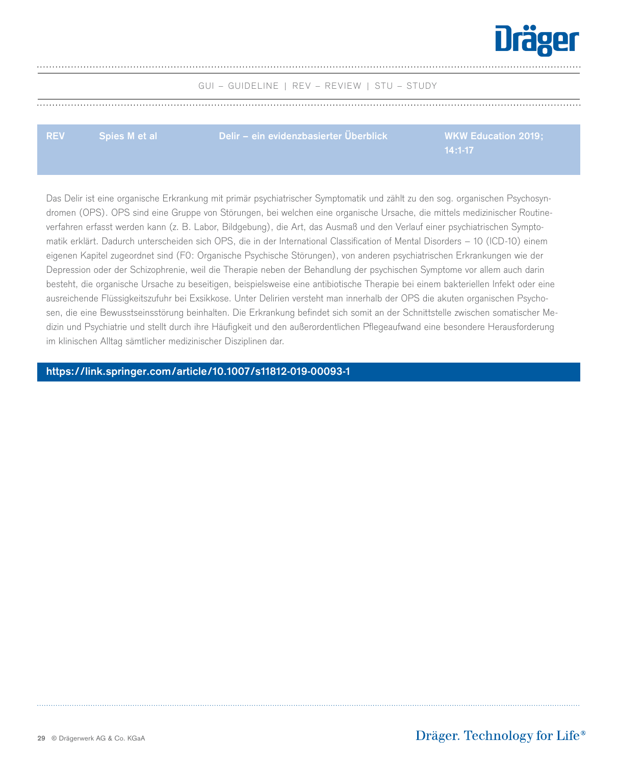

<span id="page-28-0"></span>**REV Spies M et al Delir – ein evidenzbasierter Überblick WKW Education 2019;**

Das Delir ist eine organische Erkrankung mit primär psychiatrischer Symptomatik und zählt zu den sog. organischen Psychosyndromen (OPS). OPS sind eine Gruppe von Störungen, bei welchen eine organische Ursache, die mittels medizinischer Routineverfahren erfasst werden kann (z. B. Labor, Bildgebung), die Art, das Ausmaß und den Verlauf einer psychiatrischen Symptomatik erklärt. Dadurch unterscheiden sich OPS, die in der International Classification of Mental Disorders – 10 (ICD-10) einem eigenen Kapitel zugeordnet sind (F0: Organische Psychische Störungen), von anderen psychiatrischen Erkrankungen wie der Depression oder der Schizophrenie, weil die Therapie neben der Behandlung der psychischen Symptome vor allem auch darin besteht, die organische Ursache zu beseitigen, beispielsweise eine antibiotische Therapie bei einem bakteriellen Infekt oder eine ausreichende Flüssigkeitszufuhr bei Exsikkose. Unter Delirien versteht man innerhalb der OPS die akuten organischen Psychosen, die eine Bewusstseinsstörung beinhalten. Die Erkrankung befindet sich somit an der Schnittstelle zwischen somatischer Medizin und Psychiatrie und stellt durch ihre Häufigkeit und den außerordentlichen Pflegeaufwand eine besondere Herausforderung im klinischen Alltag sämtlicher medizinischer Disziplinen dar.

**[https://link.springer.com/article/10.1007/s11812-019-00093-1](https://link.springer.com/article/10.1007/s11812-019-00093-1 )**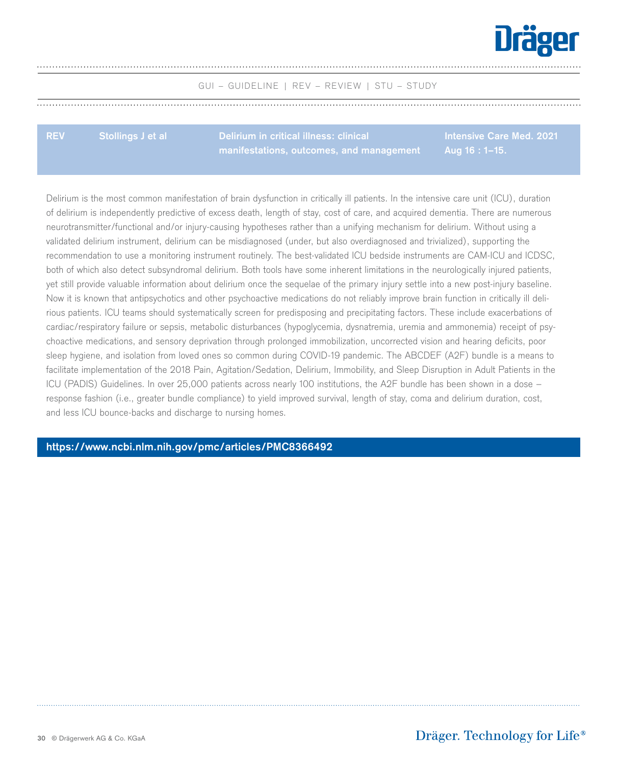

**REV Stollings J et al Delirium in critical illness: clinical manifestations, outcomes, and management** **Intensive Care Med. 2021 Aug 16 : 1–15.**

Delirium is the most common manifestation of brain dysfunction in critically ill patients. In the intensive care unit (ICU), duration of delirium is independently predictive of excess death, length of stay, cost of care, and acquired dementia. There are numerous neurotransmitter/functional and/or injury-causing hypotheses rather than a unifying mechanism for delirium. Without using a validated delirium instrument, delirium can be misdiagnosed (under, but also overdiagnosed and trivialized), supporting the recommendation to use a monitoring instrument routinely. The best-validated ICU bedside instruments are CAM-ICU and ICDSC, both of which also detect subsyndromal delirium. Both tools have some inherent limitations in the neurologically injured patients, yet still provide valuable information about delirium once the sequelae of the primary injury settle into a new post-injury baseline. Now it is known that antipsychotics and other psychoactive medications do not reliably improve brain function in critically ill delirious patients. ICU teams should systematically screen for predisposing and precipitating factors. These include exacerbations of cardiac/respiratory failure or sepsis, metabolic disturbances (hypoglycemia, dysnatremia, uremia and ammonemia) receipt of psychoactive medications, and sensory deprivation through prolonged immobilization, uncorrected vision and hearing deficits, poor sleep hygiene, and isolation from loved ones so common during COVID-19 pandemic. The ABCDEF (A2F) bundle is a means to facilitate implementation of the 2018 Pain, Agitation/Sedation, Delirium, Immobility, and Sleep Disruption in Adult Patients in the ICU (PADIS) Guidelines. In over 25,000 patients across nearly 100 institutions, the A2F bundle has been shown in a dose – response fashion (i.e., greater bundle compliance) to yield improved survival, length of stay, coma and delirium duration, cost, and less ICU bounce-backs and discharge to nursing homes.

## **<https://www.ncbi.nlm.nih.gov/pmc/articles/PMC8366492>**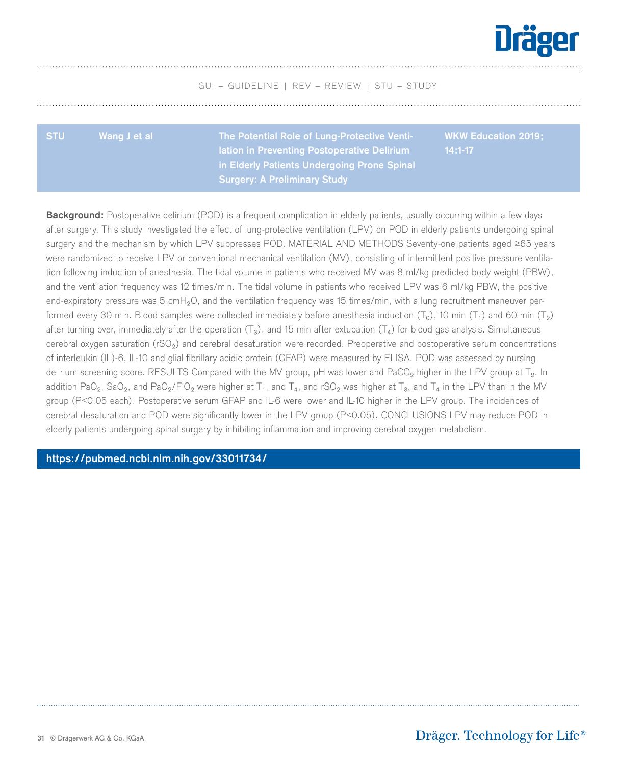

<span id="page-30-0"></span>

| <b>STU</b> | Wang J et al | The Potential Role of Lung-Protective Venti-                                               | <b>WKW Education 2019:</b> |
|------------|--------------|--------------------------------------------------------------------------------------------|----------------------------|
|            |              | Iation in Preventing Postoperative Delirium<br>in Elderly Patients Undergoing Prone Spinal | $14:1-17$                  |
|            |              | <b>Surgery: A Preliminary Study</b>                                                        |                            |

**Background:** Postoperative delirium (POD) is a frequent complication in elderly patients, usually occurring within a few days after surgery. This study investigated the effect of lung-protective ventilation (LPV) on POD in elderly patients undergoing spinal surgery and the mechanism by which LPV suppresses POD. MATERIAL AND METHODS Seventy-one patients aged ≥65 years were randomized to receive LPV or conventional mechanical ventilation (MV), consisting of intermittent positive pressure ventilation following induction of anesthesia. The tidal volume in patients who received MV was 8 ml/kg predicted body weight (PBW), and the ventilation frequency was 12 times/min. The tidal volume in patients who received LPV was 6 ml/kg PBW, the positive end-expiratory pressure was  $5 \text{ cm}$ H<sub>2</sub>O, and the ventilation frequency was 15 times/min, with a lung recruitment maneuver performed every 30 min. Blood samples were collected immediately before anesthesia induction ( $T_0$ ), 10 min ( $T_1$ ) and 60 min ( $T_2$ ) after turning over, immediately after the operation  $(T_3)$ , and 15 min after extubation  $(T_4)$  for blood gas analysis. Simultaneous cerebral oxygen saturation (rSO₂) and cerebral desaturation were recorded. Preoperative and postoperative serum concentrations of interleukin (IL)-6, IL-10 and glial fibrillary acidic protein (GFAP) were measured by ELISA. POD was assessed by nursing delirium screening score. RESULTS Compared with the MV group, pH was lower and PaCO<sub>2</sub> higher in the LPV group at T<sub>2</sub>. In addition PaO<sub>2</sub>, SaO<sub>2</sub>, and PaO<sub>2</sub>/FiO<sub>2</sub> were higher at T<sub>1</sub>, and T<sub>4</sub>, and rSO<sub>2</sub> was higher at T<sub>3</sub>, and T<sub>4</sub> in the LPV than in the MV group (P<0.05 each). Postoperative serum GFAP and IL-6 were lower and IL-10 higher in the LPV group. The incidences of cerebral desaturation and POD were significantly lower in the LPV group (P<0.05). CONCLUSIONS LPV may reduce POD in elderly patients undergoing spinal surgery by inhibiting inflammation and improving cerebral oxygen metabolism.

**[https://pubmed.ncbi.nlm.nih.gov/33011734/](https://pubmed.ncbi.nlm.nih.gov/33011734/ )**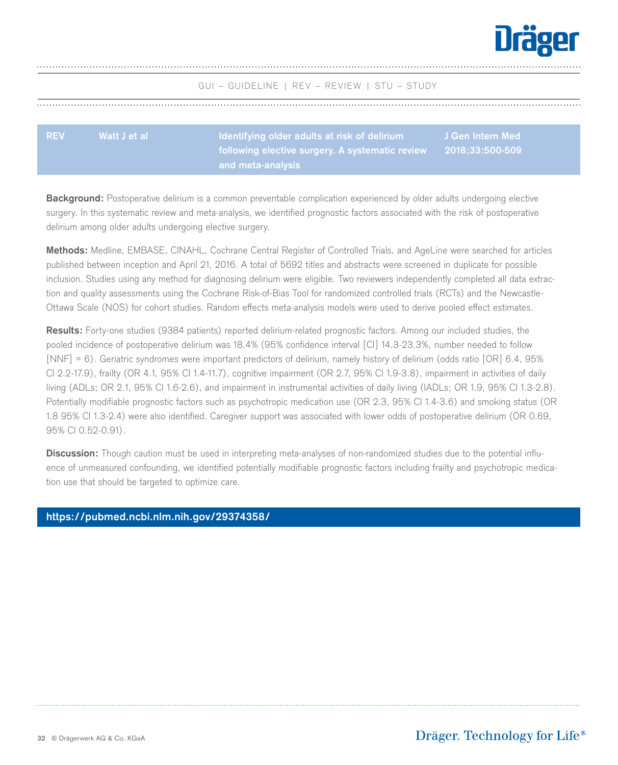

<span id="page-31-0"></span>

| <b>REV</b> | Watt J et al | Identifying older adults at risk of delirium                                   | J Gen Intern Med |
|------------|--------------|--------------------------------------------------------------------------------|------------------|
|            |              | $\,$ following elective surgery. A systematic review $\,$ 2018;33:500-509 $\,$ |                  |
|            |              | $^\prime$ and meta-analysis $\prime$                                           |                  |

**Background:** Postoperative delirium is a common preventable complication experienced by older adults undergoing elective surgery. In this systematic review and meta-analysis, we identified prognostic factors associated with the risk of postoperative delirium among older adults undergoing elective surgery.

**Methods:** Medline, EMBASE, CINAHL, Cochrane Central Register of Controlled Trials, and AgeLine were searched for articles published between inception and April 21, 2016. A total of 5692 titles and abstracts were screened in duplicate for possible inclusion. Studies using any method for diagnosing delirium were eligible. Two reviewers independently completed all data extraction and quality assessments using the Cochrane Risk-of-Bias Tool for randomized controlled trials (RCTs) and the Newcastle-Ottawa Scale (NOS) for cohort studies. Random effects meta-analysis models were used to derive pooled effect estimates.

**Results:** Forty-one studies (9384 patients) reported delirium-related prognostic factors. Among our included studies, the pooled incidence of postoperative delirium was 18.4% (95% confidence interval [CI] 14.3-23.3%, number needed to follow [NNF] = 6). Geriatric syndromes were important predictors of delirium, namely history of delirium (odds ratio [OR] 6.4, 95% CI 2.2-17.9), frailty (OR 4.1, 95% CI 1.4-11.7), cognitive impairment (OR 2.7, 95% CI 1.9-3.8), impairment in activities of daily living (ADLs; OR 2.1, 95% CI 1.6-2.6), and impairment in instrumental activities of daily living (IADLs; OR 1.9, 95% CI 1.3-2.8). Potentially modifiable prognostic factors such as psychotropic medication use (OR 2.3, 95% CI 1.4-3.6) and smoking status (OR 1.8 95% CI 1.3-2.4) were also identified. Caregiver support was associated with lower odds of postoperative delirium (OR 0.69, 95% CI 0.52-0.91).

**Discussion:** Though caution must be used in interpreting meta-analyses of non-randomized studies due to the potential influence of unmeasured confounding, we identified potentially modifiable prognostic factors including frailty and psychotropic medication use that should be targeted to optimize care.

## **[https://pubmed.ncbi.nlm.nih.gov/29374358/](https://pubmed.ncbi.nlm.nih.gov/29374358/ 

)**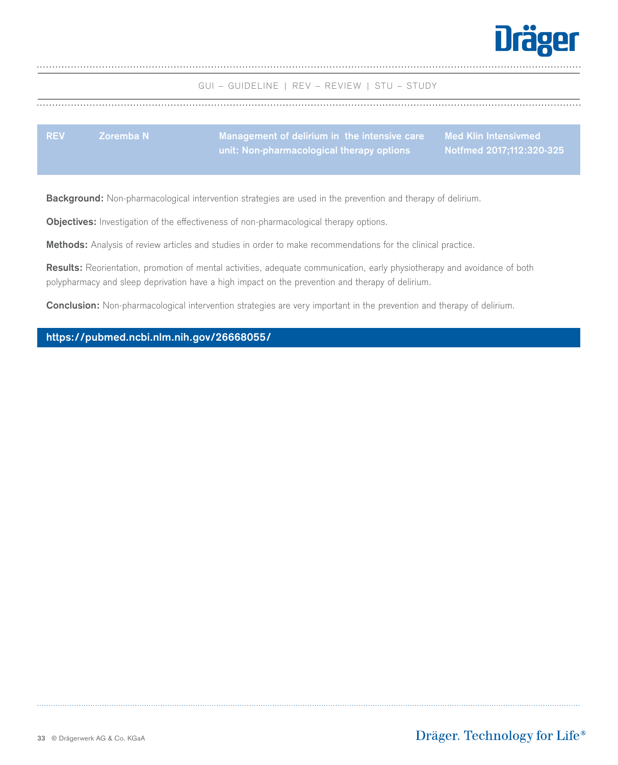

GUI – GUIDELINE | REV – REVIEW | STU – STUDY

<span id="page-32-0"></span>

| <b>REV</b> | ⊾Zoremba N \ | ,Management of delirium in  the intensive care       Med Klin Intensivmed  ' |                          |
|------------|--------------|------------------------------------------------------------------------------|--------------------------|
|            |              | unit: Non-pharmacological therapy options                                    | Notfmed 2017;112:320-325 |

**Background:** Non-pharmacological intervention strategies are used in the prevention and therapy of delirium.

**Objectives:** Investigation of the effectiveness of non-pharmacological therapy options.

**Methods:** Analysis of review articles and studies in order to make recommendations for the clinical practice.

**Results:** Reorientation, promotion of mental activities, adequate communication, early physiotherapy and avoidance of both polypharmacy and sleep deprivation have a high impact on the prevention and therapy of delirium.

**Conclusion:** Non-pharmacological intervention strategies are very important in the prevention and therapy of delirium.

## **[https://pubmed.ncbi.nlm.nih.gov/26668055/](https://pubmed.ncbi.nlm.nih.gov/26668055/ )**